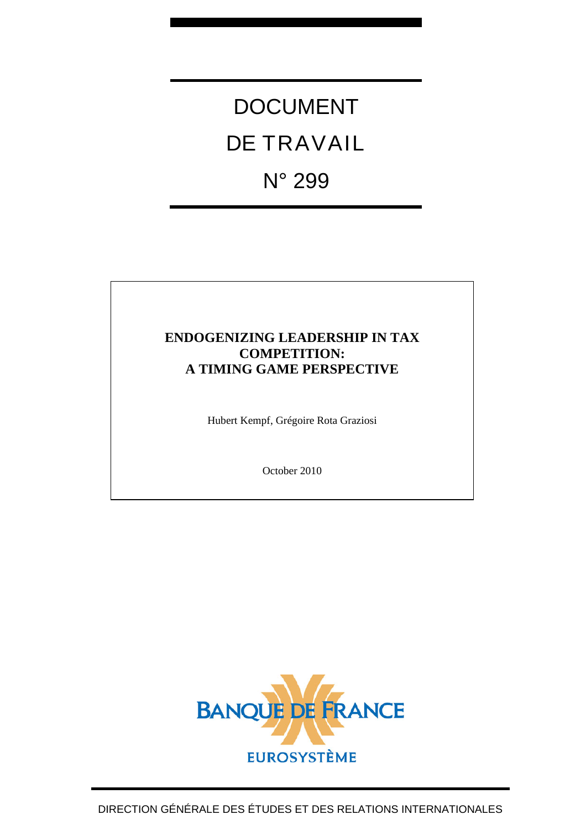# DOCUMENT DE TRAVAIL N° 299

## **ENDOGENIZING LEADERSHIP IN TAX COMPETITION: A TIMING GAME PERSPECTIVE**

Hubert Kempf, Grégoire Rota Graziosi

October 2010

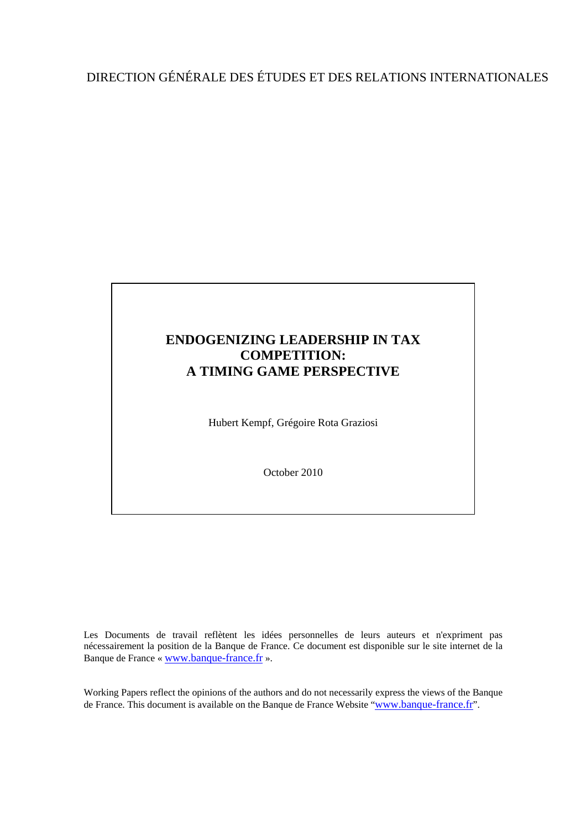# DIRECTION GÉNÉRALE DES ÉTUDES ET DES RELATIONS INTERNATIONALES

## **ENDOGENIZING LEADERSHIP IN TAX COMPETITION: A TIMING GAME PERSPECTIVE**

Hubert Kempf, Grégoire Rota Graziosi

October 2010

Les Documents de travail reflètent les idées personnelles de leurs auteurs et n'expriment pas nécessairement la position de la Banque de France. Ce document est disponible sur le site internet de la Banque de France « [www.banque-france.fr](http://www.banque-france.fr/) ».

Working Papers reflect the opinions of the authors and do not necessarily express the views of the Banque de France. This document is available on the Banque de France Website "[www.banque-france.fr](http://www.banque-france.fr/)".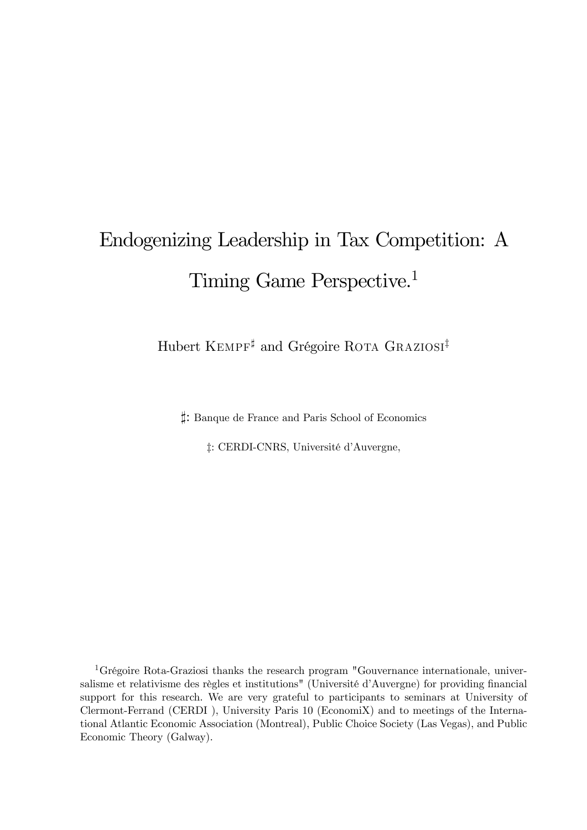# Endogenizing Leadership in Tax Competition: A Timing Game Perspective.<sup>1</sup>

Hubert KEMPF<sup>‡</sup> and Grégoire ROTA GRAZIOSI<sup>‡</sup>

`: Banque de France and Paris School of Economics

‡: CERDI-CNRS, Université d'Auvergne,

1Grégoire Rota-Graziosi thanks the research program "Gouvernance internationale, universalisme et relativisme des règles et institutions" (Université d'Auvergne) for providing financial support for this research. We are very grateful to participants to seminars at University of Clermont-Ferrand (CERDI ), University Paris 10 (EconomiX) and to meetings of the International Atlantic Economic Association (Montreal), Public Choice Society (Las Vegas), and Public Economic Theory (Galway).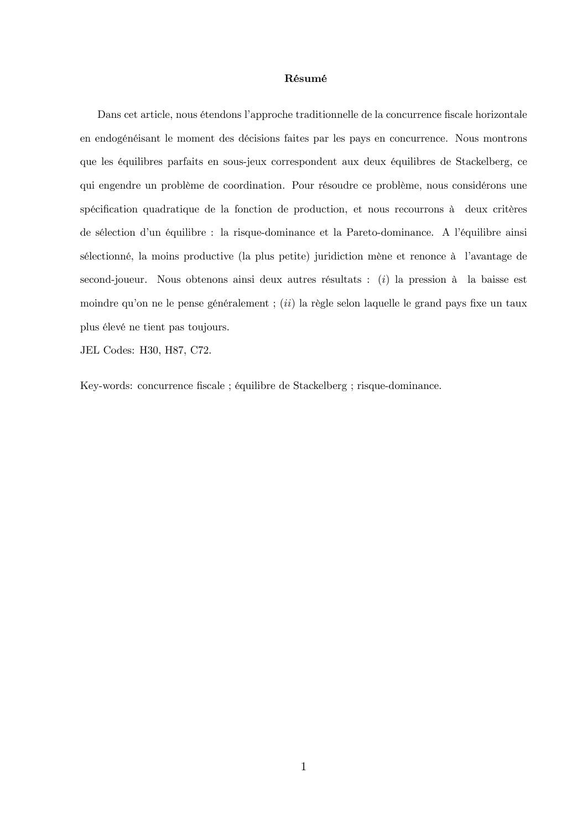#### Résumé

Dans cet article, nous étendons l'approche traditionnelle de la concurrence fiscale horizontale en endogénéisant le moment des décisions faites par les pays en concurrence. Nous montrons que les équilibres parfaits en sous-jeux correspondent aux deux équilibres de Stackelberg, ce qui engendre un problème de coordination. Pour résoudre ce problème, nous considérons une spécification quadratique de la fonction de production, et nous recourrons à deux critères de sélection d'un équilibre : la risque-dominance et la Pareto-dominance. A l'équilibre ainsi sélectionné, la moins productive (la plus petite) juridiction mène et renonce à l'avantage de second-joueur. Nous obtenons ainsi deux autres résultats : (i) la pression à la baisse est moindre qu'on ne le pense généralement ;  $(ii)$  la règle selon laquelle le grand pays fixe un taux plus élevé ne tient pas toujours.

JEL Codes: H30, H87, C72.

Key-words: concurrence fiscale ; équilibre de Stackelberg ; risque-dominance.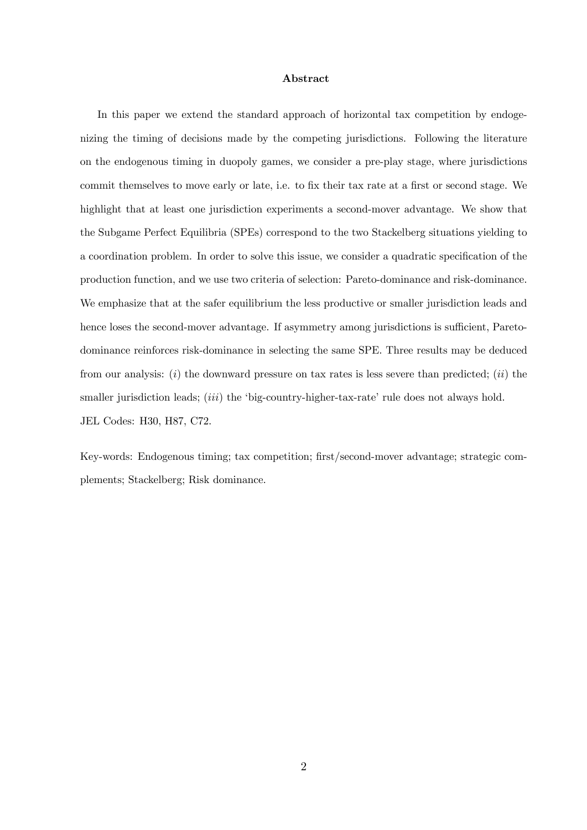#### Abstract

In this paper we extend the standard approach of horizontal tax competition by endogenizing the timing of decisions made by the competing jurisdictions. Following the literature on the endogenous timing in duopoly games, we consider a pre-play stage, where jurisdictions commit themselves to move early or late, i.e. to fix their tax rate at a first or second stage. We highlight that at least one jurisdiction experiments a second-mover advantage. We show that the Subgame Perfect Equilibria (SPEs) correspond to the two Stackelberg situations yielding to a coordination problem. In order to solve this issue, we consider a quadratic specification of the production function, and we use two criteria of selection: Pareto-dominance and risk-dominance. We emphasize that at the safer equilibrium the less productive or smaller jurisdiction leads and hence loses the second-mover advantage. If asymmetry among jurisdictions is sufficient, Paretodominance reinforces risk-dominance in selecting the same SPE. Three results may be deduced from our analysis: (i) the downward pressure on tax rates is less severe than predicted; (ii) the smaller jurisdiction leads; *(iii)* the 'big-country-higher-tax-rate' rule does not always hold. JEL Codes: H30, H87, C72.

Key-words: Endogenous timing; tax competition; first/second-mover advantage; strategic complements; Stackelberg; Risk dominance.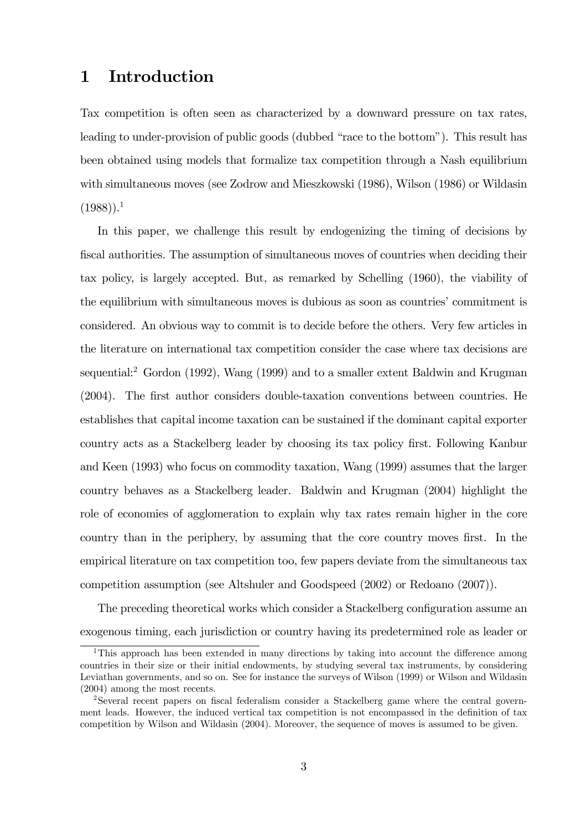## 1 Introduction

Tax competition is often seen as characterized by a downward pressure on tax rates, leading to under-provision of public goods (dubbed "race to the bottom"). This result has been obtained using models that formalize tax competition through a Nash equilibrium with simultaneous moves (see Zodrow and Mieszkowski (1986), Wilson (1986) or Wildasin  $(1988)$ ).<sup>1</sup>

In this paper, we challenge this result by endogenizing the timing of decisions by fiscal authorities. The assumption of simultaneous moves of countries when deciding their tax policy, is largely accepted. But, as remarked by Schelling (1960), the viability of the equilibrium with simultaneous moves is dubious as soon as countries' commitment is considered. An obvious way to commit is to decide before the others. Very few articles in the literature on international tax competition consider the case where tax decisions are sequential:<sup>2</sup> Gordon (1992), Wang (1999) and to a smaller extent Baldwin and Krugman (2004). The first author considers double-taxation conventions between countries. He establishes that capital income taxation can be sustained if the dominant capital exporter country acts as a Stackelberg leader by choosing its tax policy first. Following Kanbur and Keen (1993) who focus on commodity taxation, Wang (1999) assumes that the larger country behaves as a Stackelberg leader. Baldwin and Krugman (2004) highlight the role of economies of agglomeration to explain why tax rates remain higher in the core country than in the periphery, by assuming that the core country moves first. In the empirical literature on tax competition too, few papers deviate from the simultaneous tax competition assumption (see Altshuler and Goodspeed (2002) or Redoano (2007)).

The preceding theoretical works which consider a Stackelberg configuration assume an exogenous timing, each jurisdiction or country having its predetermined role as leader or

<sup>&</sup>lt;sup>1</sup>This approach has been extended in many directions by taking into account the difference among countries in their size or their initial endowments, by studying several tax instruments, by considering Leviathan governments, and so on. See for instance the surveys of Wilson (1999) or Wilson and Wildasin (2004) among the most recents.

<sup>2</sup>Several recent papers on fiscal federalism consider a Stackelberg game where the central government leads. However, the induced vertical tax competition is not encompassed in the definition of tax competition by Wilson and Wildasin (2004). Moreover, the sequence of moves is assumed to be given.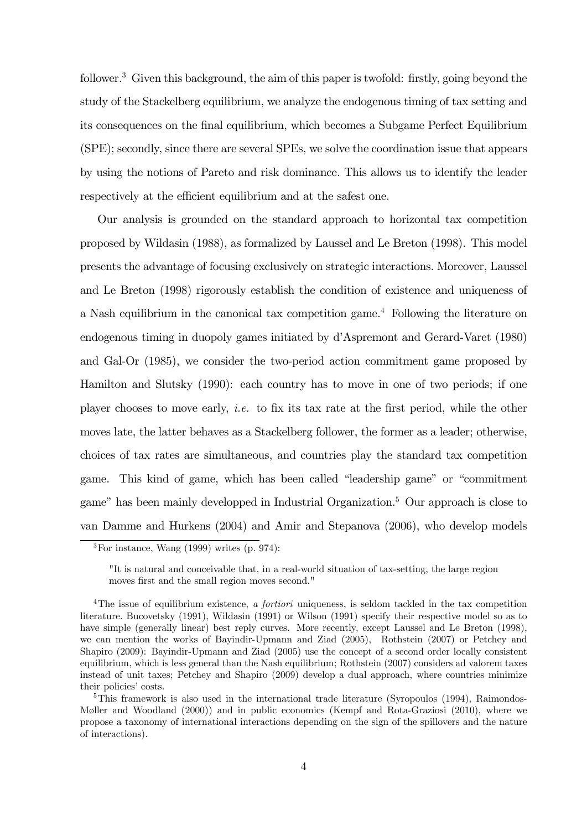follower.<sup>3</sup> Given this background, the aim of this paper is twofold: firstly, going beyond the study of the Stackelberg equilibrium, we analyze the endogenous timing of tax setting and its consequences on the final equilibrium, which becomes a Subgame Perfect Equilibrium (SPE); secondly, since there are several SPEs, we solve the coordination issue that appears by using the notions of Pareto and risk dominance. This allows us to identify the leader respectively at the efficient equilibrium and at the safest one.

Our analysis is grounded on the standard approach to horizontal tax competition proposed by Wildasin (1988), as formalized by Laussel and Le Breton (1998). This model presents the advantage of focusing exclusively on strategic interactions. Moreover, Laussel and Le Breton (1998) rigorously establish the condition of existence and uniqueness of a Nash equilibrium in the canonical tax competition game.4 Following the literature on endogenous timing in duopoly games initiated by d'Aspremont and Gerard-Varet (1980) and Gal-Or (1985), we consider the two-period action commitment game proposed by Hamilton and Slutsky (1990): each country has to move in one of two periods; if one player chooses to move early, *i.e.* to fix its tax rate at the first period, while the other moves late, the latter behaves as a Stackelberg follower, the former as a leader; otherwise, choices of tax rates are simultaneous, and countries play the standard tax competition game. This kind of game, which has been called "leadership game" or "commitment game" has been mainly developped in Industrial Organization.5 Our approach is close to van Damme and Hurkens (2004) and Amir and Stepanova (2006), who develop models

 ${}^{3}$ For instance, Wang (1999) writes (p. 974):

<sup>&</sup>quot;It is natural and conceivable that, in a real-world situation of tax-setting, the large region moves first and the small region moves second."

<sup>&</sup>lt;sup>4</sup>The issue of equilibrium existence, a fortiori uniqueness, is seldom tackled in the tax competition literature. Bucovetsky (1991), Wildasin (1991) or Wilson (1991) specify their respective model so as to have simple (generally linear) best reply curves. More recently, except Laussel and Le Breton (1998), we can mention the works of Bayindir-Upmann and Ziad (2005), Rothstein (2007) or Petchey and Shapiro (2009): Bayindir-Upmann and Ziad (2005) use the concept of a second order locally consistent equilibrium, which is less general than the Nash equilibrium; Rothstein (2007) considers ad valorem taxes instead of unit taxes; Petchey and Shapiro (2009) develop a dual approach, where countries minimize their policies' costs.

<sup>&</sup>lt;sup>5</sup>This framework is also used in the international trade literature (Syropoulos  $(1994)$ , Raimondos-Møller and Woodland (2000)) and in public economics (Kempf and Rota-Graziosi (2010), where we propose a taxonomy of international interactions depending on the sign of the spillovers and the nature of interactions).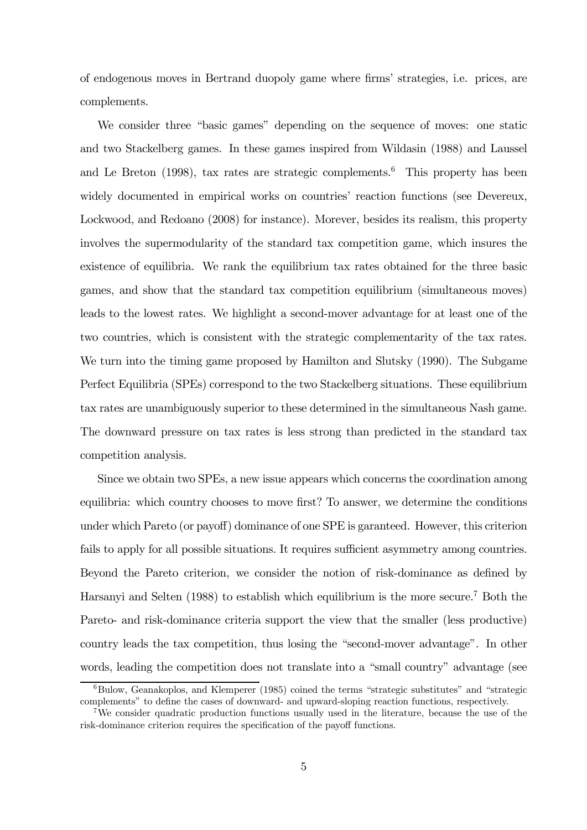of endogenous moves in Bertrand duopoly game where firms' strategies, i.e. prices, are complements.

We consider three "basic games" depending on the sequence of moves: one static and two Stackelberg games. In these games inspired from Wildasin (1988) and Laussel and Le Breton  $(1998)$ , tax rates are strategic complements.<sup>6</sup> This property has been widely documented in empirical works on countries' reaction functions (see Devereux, Lockwood, and Redoano (2008) for instance). Morever, besides its realism, this property involves the supermodularity of the standard tax competition game, which insures the existence of equilibria. We rank the equilibrium tax rates obtained for the three basic games, and show that the standard tax competition equilibrium (simultaneous moves) leads to the lowest rates. We highlight a second-mover advantage for at least one of the two countries, which is consistent with the strategic complementarity of the tax rates. We turn into the timing game proposed by Hamilton and Slutsky (1990). The Subgame Perfect Equilibria (SPEs) correspond to the two Stackelberg situations. These equilibrium tax rates are unambiguously superior to these determined in the simultaneous Nash game. The downward pressure on tax rates is less strong than predicted in the standard tax competition analysis.

Since we obtain two SPEs, a new issue appears which concerns the coordination among equilibria: which country chooses to move first? To answer, we determine the conditions under which Pareto (or payoff) dominance of one SPE is garanteed. However, this criterion fails to apply for all possible situations. It requires sufficient asymmetry among countries. Beyond the Pareto criterion, we consider the notion of risk-dominance as defined by Harsanyi and Selten (1988) to establish which equilibrium is the more secure.<sup>7</sup> Both the Pareto- and risk-dominance criteria support the view that the smaller (less productive) country leads the tax competition, thus losing the "second-mover advantage". In other words, leading the competition does not translate into a "small country" advantage (see

 $6Bulow$ , Geanakoplos, and Klemperer (1985) coined the terms "strategic substitutes" and "strategic complements" to define the cases of downward- and upward-sloping reaction functions, respectively.

<sup>&</sup>lt;sup>7</sup>We consider quadratic production functions usually used in the literature, because the use of the risk-dominance criterion requires the specification of the payoff functions.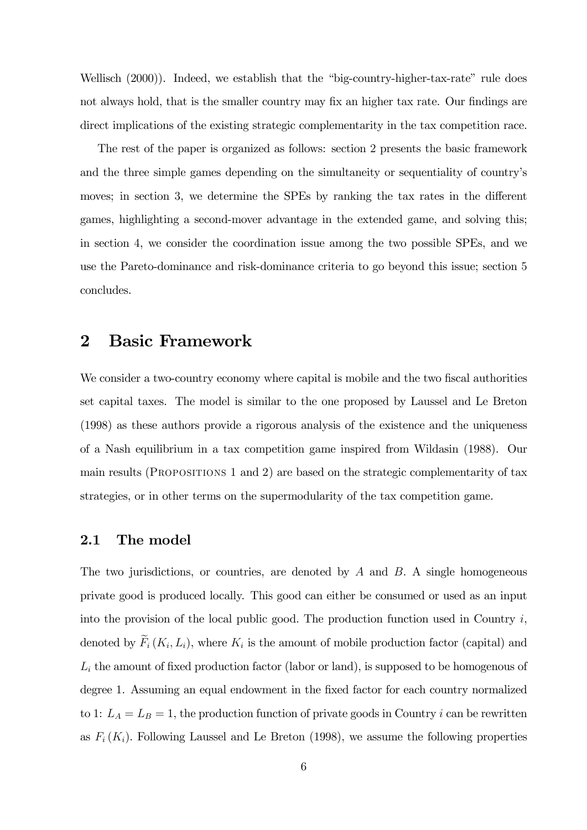Wellisch (2000)). Indeed, we establish that the "big-country-higher-tax-rate" rule does not always hold, that is the smaller country may fix an higher tax rate. Our findings are direct implications of the existing strategic complementarity in the tax competition race.

The rest of the paper is organized as follows: section 2 presents the basic framework and the three simple games depending on the simultaneity or sequentiality of country's moves; in section 3, we determine the SPEs by ranking the tax rates in the different games, highlighting a second-mover advantage in the extended game, and solving this; in section 4, we consider the coordination issue among the two possible SPEs, and we use the Pareto-dominance and risk-dominance criteria to go beyond this issue; section 5 concludes.

## 2 Basic Framework

We consider a two-country economy where capital is mobile and the two fiscal authorities set capital taxes. The model is similar to the one proposed by Laussel and Le Breton (1998) as these authors provide a rigorous analysis of the existence and the uniqueness of a Nash equilibrium in a tax competition game inspired from Wildasin (1988). Our main results (Propositions 1 and 2) are based on the strategic complementarity of tax strategies, or in other terms on the supermodularity of the tax competition game.

#### 2.1 The model

The two jurisdictions, or countries, are denoted by  $A$  and  $B$ . A single homogeneous private good is produced locally. This good can either be consumed or used as an input into the provision of the local public good. The production function used in Country  $i$ , denoted by  $\widetilde{F}_i(K_i, L_i)$ , where  $K_i$  is the amount of mobile production factor (capital) and  $L_i$  the amount of fixed production factor (labor or land), is supposed to be homogenous of degree 1. Assuming an equal endowment in the fixed factor for each country normalized to 1:  $L_A = L_B = 1$ , the production function of private goods in Country *i* can be rewritten as  $F_i(K_i)$ . Following Laussel and Le Breton (1998), we assume the following properties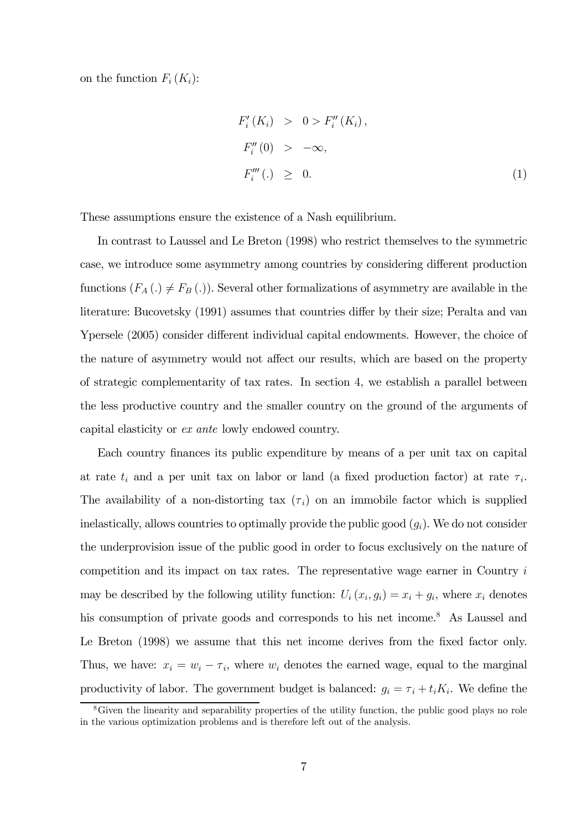on the function  $F_i(K_i)$ :

$$
F'_{i}(K_{i}) > 0 > F''_{i}(K_{i}),
$$
  
\n
$$
F''_{i}(0) > -\infty,
$$
  
\n
$$
F'''_{i}(.) \geq 0.
$$
 (1)

These assumptions ensure the existence of a Nash equilibrium.

In contrast to Laussel and Le Breton (1998) who restrict themselves to the symmetric case, we introduce some asymmetry among countries by considering different production functions  $(F_A(.) \neq F_B(.)$ . Several other formalizations of asymmetry are available in the literature: Bucovetsky (1991) assumes that countries differ by their size; Peralta and van Ypersele (2005) consider different individual capital endowments. However, the choice of the nature of asymmetry would not affect our results, which are based on the property of strategic complementarity of tax rates. In section 4, we establish a parallel between the less productive country and the smaller country on the ground of the arguments of capital elasticity or ex ante lowly endowed country.

Each country finances its public expenditure by means of a per unit tax on capital at rate  $t_i$  and a per unit tax on labor or land (a fixed production factor) at rate  $\tau_i$ . The availability of a non-distorting tax  $(\tau_i)$  on an immobile factor which is supplied inelastically, allows countries to optimally provide the public good  $(q_i)$ . We do not consider the underprovision issue of the public good in order to focus exclusively on the nature of competition and its impact on tax rates. The representative wage earner in Country i may be described by the following utility function:  $U_i(x_i, g_i) = x_i + g_i$ , where  $x_i$  denotes his consumption of private goods and corresponds to his net income.<sup>8</sup> As Laussel and Le Breton (1998) we assume that this net income derives from the fixed factor only. Thus, we have:  $x_i = w_i - \tau_i$ , where  $w_i$  denotes the earned wage, equal to the marginal productivity of labor. The government budget is balanced:  $g_i = \tau_i + t_i K_i$ . We define the

<sup>8</sup>Given the linearity and separability properties of the utility function, the public good plays no role in the various optimization problems and is therefore left out of the analysis.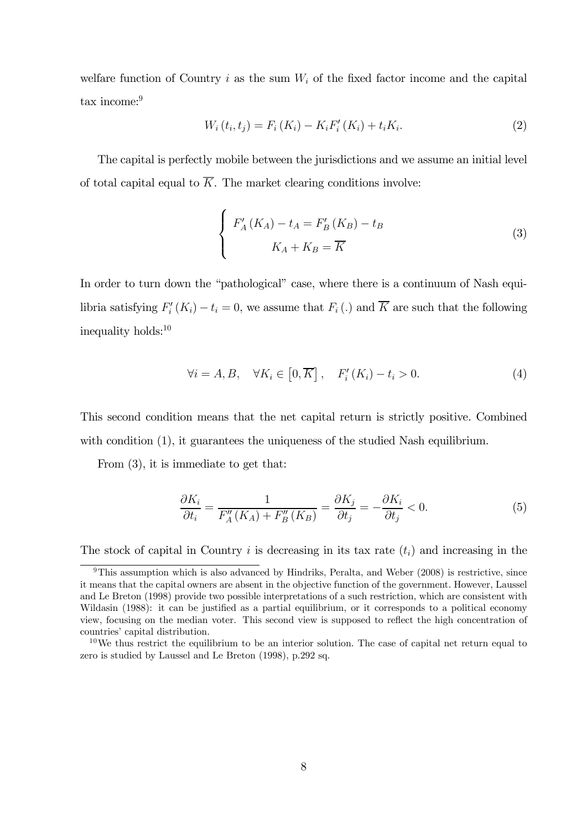welfare function of Country i as the sum  $W_i$  of the fixed factor income and the capital tax income:<sup>9</sup>

$$
W_i(t_i, t_j) = F_i(K_i) - K_i F'_i(K_i) + t_i K_i.
$$
 (2)

The capital is perfectly mobile between the jurisdictions and we assume an initial level of total capital equal to  $\overline{K}$ . The market clearing conditions involve:

$$
\begin{cases}\nF'_A(K_A) - t_A = F'_B(K_B) - t_B \\
K_A + K_B = \overline{K}\n\end{cases}
$$
\n(3)

In order to turn down the "pathological" case, where there is a continuum of Nash equilibria satisfying  $F_i'(K_i) - t_i = 0$ , we assume that  $F_i(.)$  and K are such that the following inequality holds:10

$$
\forall i = A, B, \quad \forall K_i \in [0, \overline{K}], \quad F'_i(K_i) - t_i > 0.
$$
 (4)

This second condition means that the net capital return is strictly positive. Combined with condition (1), it guarantees the uniqueness of the studied Nash equilibrium.

From (3), it is immediate to get that:

$$
\frac{\partial K_i}{\partial t_i} = \frac{1}{F_A''(K_A) + F_B''(K_B)} = \frac{\partial K_j}{\partial t_j} = -\frac{\partial K_i}{\partial t_j} < 0. \tag{5}
$$

The stock of capital in Country i is decreasing in its tax rate  $(t_i)$  and increasing in the

<sup>&</sup>lt;sup>9</sup>This assumption which is also advanced by Hindriks, Peralta, and Weber (2008) is restrictive, since it means that the capital owners are absent in the objective function of the government. However, Laussel and Le Breton (1998) provide two possible interpretations of a such restriction, which are consistent with Wildasin (1988): it can be justified as a partial equilibrium, or it corresponds to a political economy view, focusing on the median voter. This second view is supposed to reflect the high concentration of countries' capital distribution.

 $10$ We thus restrict the equilibrium to be an interior solution. The case of capital net return equal to zero is studied by Laussel and Le Breton (1998), p.292 sq.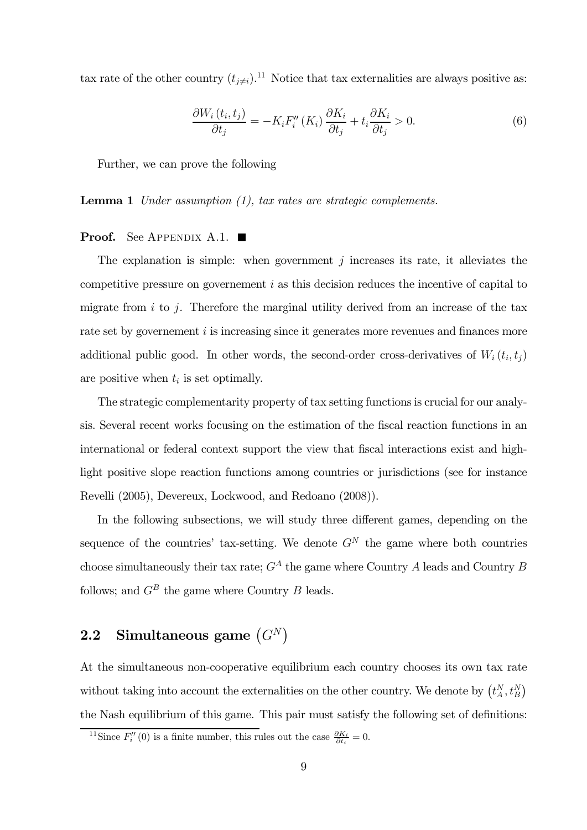tax rate of the other country  $(t_{j\neq i})$ .<sup>11</sup> Notice that tax externalities are always positive as:

$$
\frac{\partial W_i(t_i, t_j)}{\partial t_j} = -K_i F_i''(K_i) \frac{\partial K_i}{\partial t_j} + t_i \frac{\partial K_i}{\partial t_j} > 0.
$$
\n(6)

Further, we can prove the following

Lemma 1 Under assumption (1), tax rates are strategic complements.

#### **Proof.** See Appendix A.1.  $\blacksquare$

The explanation is simple: when government  $j$  increases its rate, it alleviates the competitive pressure on governement i as this decision reduces the incentive of capital to migrate from  $i$  to  $j$ . Therefore the marginal utility derived from an increase of the tax rate set by governement *i* is increasing since it generates more revenues and finances more additional public good. In other words, the second-order cross-derivatives of  $W_i(t_i, t_j)$ are positive when  $t_i$  is set optimally.

The strategic complementarity property of tax setting functions is crucial for our analysis. Several recent works focusing on the estimation of the fiscal reaction functions in an international or federal context support the view that fiscal interactions exist and highlight positive slope reaction functions among countries or jurisdictions (see for instance Revelli (2005), Devereux, Lockwood, and Redoano (2008)).

In the following subsections, we will study three different games, depending on the sequence of the countries' tax-setting. We denote  $G<sup>N</sup>$  the game where both countries choose simultaneously their tax rate;  $G^A$  the game where Country A leads and Country B follows; and  $G^B$  the game where Country B leads.

# 2.2 Simultaneous game  $(G^N)$

At the simultaneous non-cooperative equilibrium each country chooses its own tax rate without taking into account the externalities on the other country. We denote by  $(t_A^N, t_B^N)$ the Nash equilibrium of this game. This pair must satisfy the following set of definitions:

<sup>&</sup>lt;sup>11</sup>Since  $F''_i(0)$  is a finite number, this rules out the case  $\frac{\partial K_i}{\partial t_i} = 0$ .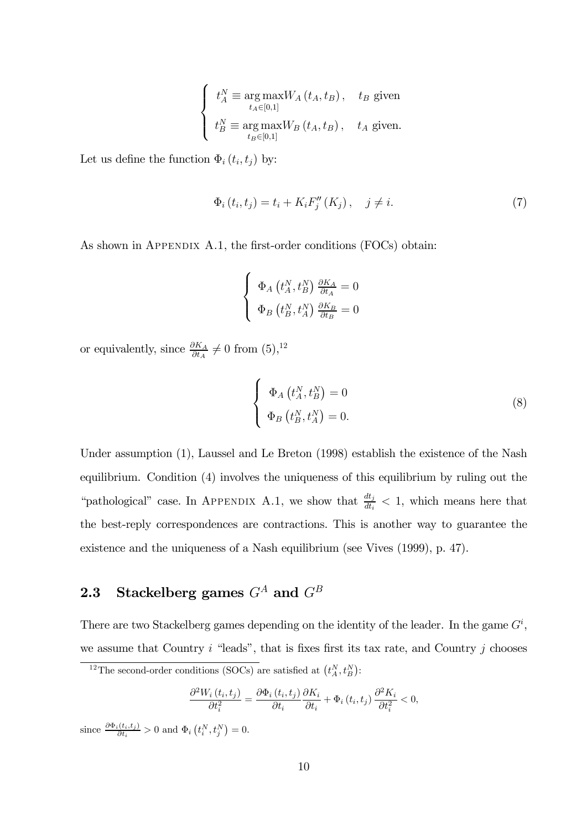$$
\left\{ \begin{array}{ll} t_{A}^{N}\equiv\mathop{\arg\max}_{t_{A}\in[0,1]}W_{A}\left(t_{A},t_{B}\right), & t_{B} \text{ given} \\ t_{B}^{N}\equiv\mathop{\arg\max}_{t_{B}\in[0,1]}W_{B}\left(t_{A},t_{B}\right), & t_{A} \text{ given}. \end{array} \right.
$$

Let us define the function  $\Phi_i(t_i, t_j)$  by:

$$
\Phi_i(t_i, t_j) = t_i + K_i F''_j(K_j), \quad j \neq i. \tag{7}
$$

As shown in APPENDIX A.1, the first-order conditions (FOCs) obtain:

$$
\left\{ \begin{array}{l} \Phi_A\left(t_A^N, t_B^N\right)\frac{\partial K_A}{\partial t_A}=0\\ \Phi_B\left(t_B^N, t_A^N\right)\frac{\partial K_B}{\partial t_B}=0 \end{array} \right.
$$

or equivalently, since  $\frac{\partial K_A}{\partial t_A} \neq 0$  from  $(5)$ ,<sup>12</sup>

$$
\begin{cases}\n\Phi_A(t_A^N, t_B^N) = 0\\ \n\Phi_B(t_B^N, t_A^N) = 0.\n\end{cases}
$$
\n(8)

Under assumption (1), Laussel and Le Breton (1998) establish the existence of the Nash equilibrium. Condition (4) involves the uniqueness of this equilibrium by ruling out the "pathological" case. In APPENDIX A.1, we show that  $\frac{dt_j}{dt_i} < 1$ , which means here that the best-reply correspondences are contractions. This is another way to guarantee the existence and the uniqueness of a Nash equilibrium (see Vives (1999), p. 47).

# **2.3** Stackelberg games  $G^A$  and  $G^B$

There are two Stackelberg games depending on the identity of the leader. In the game  $G^i$ , we assume that Country  $i$  "leads", that is fixes first its tax rate, and Country  $j$  chooses

$$
\frac{\partial^2 W_i(t_i, t_j)}{\partial t_i^2} = \frac{\partial \Phi_i(t_i, t_j)}{\partial t_i} \frac{\partial K_i}{\partial t_i} + \Phi_i(t_i, t_j) \frac{\partial^2 K_i}{\partial t_i^2} < 0,
$$

since  $\frac{\partial \Phi_i(t_i,t_j)}{\partial t_i} > 0$  and  $\Phi_i\left(t_i^N,t_j^N\right) = 0$ .

<sup>&</sup>lt;sup>12</sup>The second-order conditions (SOCs) are satisfied at  $(t_A^N, t_B^N)$ :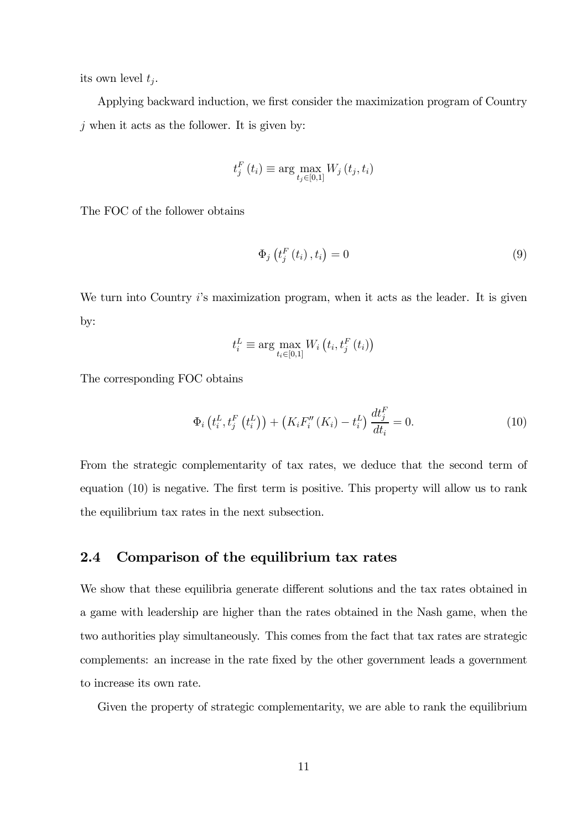its own level  $t_j$ .

Applying backward induction, we first consider the maximization program of Country  $j$  when it acts as the follower. It is given by:

$$
t_j^F(t_i) \equiv \arg\max_{t_j \in [0,1]} W_j(t_j, t_i)
$$

The FOC of the follower obtains

$$
\Phi_j\left(t_j^F\left(t_i\right),t_i\right) = 0\tag{9}
$$

We turn into Country i's maximization program, when it acts as the leader. It is given by:

$$
t_i^L \equiv \arg \max_{t_i \in [0,1]} W_i \left( t_i, t_j^F \left( t_i \right) \right)
$$

The corresponding FOC obtains

$$
\Phi_{i}\left(t_{i}^{L}, t_{j}^{F}\left(t_{i}^{L}\right)\right) + \left(K_{i}F_{i}''\left(K_{i}\right) - t_{i}^{L}\right)\frac{dt_{j}^{F}}{dt_{i}} = 0.
$$
\n(10)

From the strategic complementarity of tax rates, we deduce that the second term of equation (10) is negative. The first term is positive. This property will allow us to rank the equilibrium tax rates in the next subsection.

### 2.4 Comparison of the equilibrium tax rates

We show that these equilibria generate different solutions and the tax rates obtained in a game with leadership are higher than the rates obtained in the Nash game, when the two authorities play simultaneously. This comes from the fact that tax rates are strategic complements: an increase in the rate fixed by the other government leads a government to increase its own rate.

Given the property of strategic complementarity, we are able to rank the equilibrium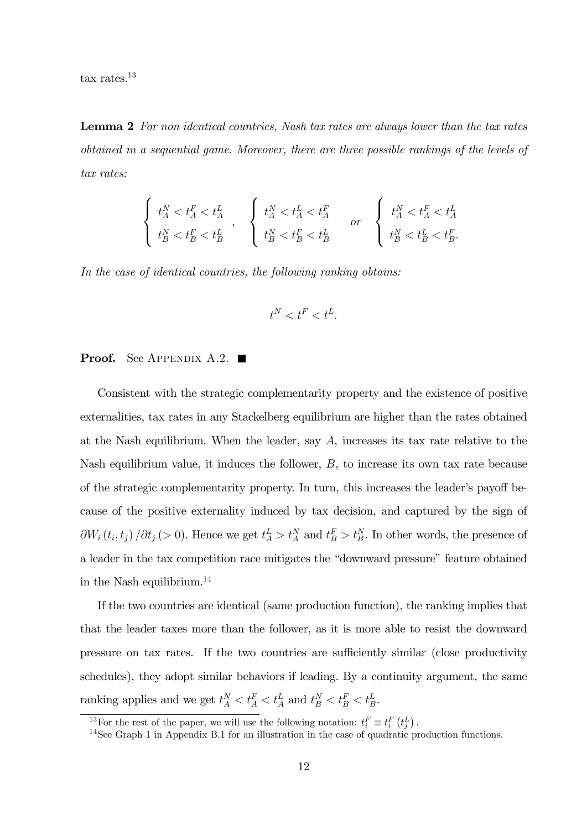tax rates.13

Lemma 2 For non identical countries. Nash tax rates are always lower than the tax rates obtained in a sequential game. Moreover, there are three possible rankings of the levels of tax rates:

$$
\left\{ \begin{array}{l} t_{A}^{N}
$$

In the case of identical countries, the following ranking obtains:

$$
t^{N}
$$

#### **Proof.** See APPENDIX A.2.

Consistent with the strategic complementarity property and the existence of positive externalities, tax rates in any Stackelberg equilibrium are higher than the rates obtained at the Nash equilibrium. When the leader, say A, increases its tax rate relative to the Nash equilibrium value, it induces the follower, B, to increase its own tax rate because of the strategic complementarity property. In turn, this increases the leader's payoff because of the positive externality induced by tax decision, and captured by the sign of  $\partial W_i(t_i, t_j) / \partial t_j$  (> 0). Hence we get  $t_A^L > t_A^N$  and  $t_B^F > t_B^N$ . In other words, the presence of a leader in the tax competition race mitigates the "downward pressure" feature obtained in the Nash equilibrium.14

If the two countries are identical (same production function), the ranking implies that that the leader taxes more than the follower, as it is more able to resist the downward pressure on tax rates. If the two countries are sufficiently similar (close productivity schedules), they adopt similar behaviors if leading. By a continuity argument, the same ranking applies and we get  $t_A^N < t_A^F < t_A^L$  and  $t_B^N < t_B^F < t_B^L$ .

<sup>&</sup>lt;sup>13</sup>For the rest of the paper, we will use the following notation:  $t_i^F \equiv t_i^F(t_j^L)$ .

<sup>&</sup>lt;sup>14</sup>See Graph 1 in Appendix B.1 for an illustration in the case of quadratic production functions.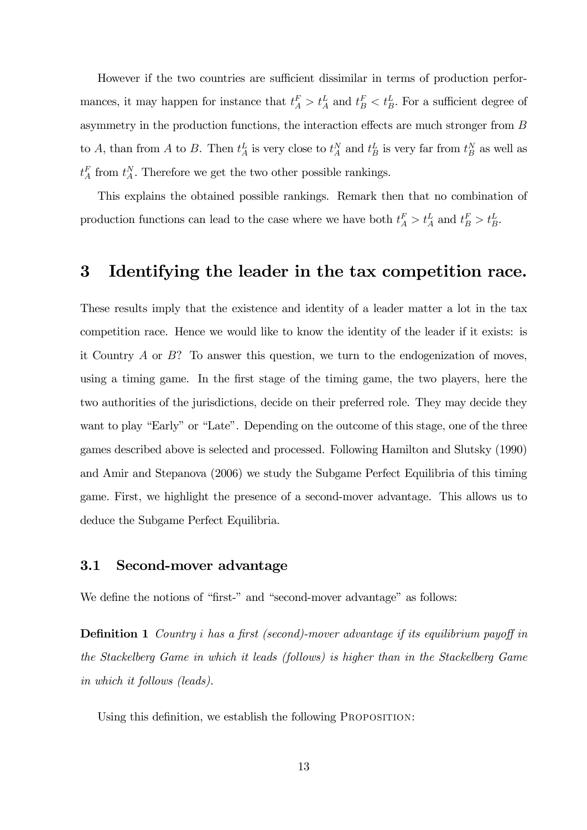However if the two countries are sufficient dissimilar in terms of production performances, it may happen for instance that  $t_A^F > t_A^L$  and  $t_B^F < t_B^L$ . For a sufficient degree of asymmetry in the production functions, the interaction effects are much stronger from B to A, than from A to B. Then  $t_A^L$  is very close to  $t_A^N$  and  $t_B^L$  is very far from  $t_B^N$  as well as  $t_A^F$  from  $t_A^N$ . Therefore we get the two other possible rankings.

This explains the obtained possible rankings. Remark then that no combination of production functions can lead to the case where we have both  $t_A^F > t_A^L$  and  $t_B^F > t_B^L$ .

## 3 Identifying the leader in the tax competition race.

These results imply that the existence and identity of a leader matter a lot in the tax competition race. Hence we would like to know the identity of the leader if it exists: is it Country  $A$  or  $B$ ? To answer this question, we turn to the endogenization of moves, using a timing game. In the first stage of the timing game, the two players, here the two authorities of the jurisdictions, decide on their preferred role. They may decide they want to play "Early" or "Late". Depending on the outcome of this stage, one of the three games described above is selected and processed. Following Hamilton and Slutsky (1990) and Amir and Stepanova (2006) we study the Subgame Perfect Equilibria of this timing game. First, we highlight the presence of a second-mover advantage. This allows us to deduce the Subgame Perfect Equilibria.

#### 3.1 Second-mover advantage

We define the notions of "first-" and "second-mover advantage" as follows:

Definition 1 Country i has a first (second)-mover advantage if its equilibrium payoff in the Stackelberg Game in which it leads (follows) is higher than in the Stackelberg Game in which it follows (leads).

Using this definition, we establish the following PROPOSITION: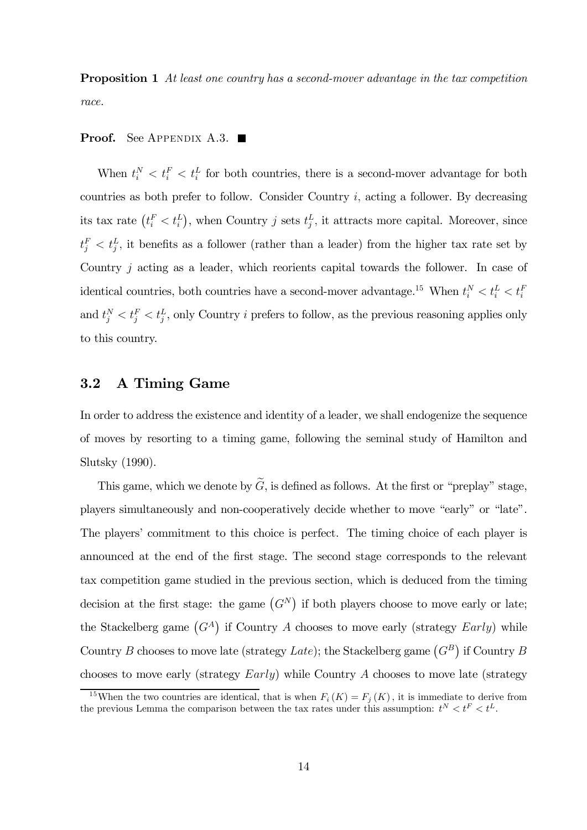**Proposition 1** At least one country has a second-mover advantage in the tax competition race.

#### **Proof.** See APPENDIX A.3.

When  $t_i^N < t_i^E < t_i^L$  for both countries, there is a second-mover advantage for both countries as both prefer to follow. Consider Country i, acting a follower. By decreasing its tax rate  $(t_i^F < t_i^L)$ , when Country j sets  $t_j^L$ , it attracts more capital. Moreover, since  $t_j^F < t_j^L$ , it benefits as a follower (rather than a leader) from the higher tax rate set by Country j acting as a leader, which reorients capital towards the follower. In case of identical countries, both countries have a second-mover advantage.<sup>15</sup> When  $t_i^N < t_i^L < t_i^L$ and  $t_j^N < t_j^E < t_j^L$ , only Country i prefers to follow, as the previous reasoning applies only to this country.

## 3.2 A Timing Game

In order to address the existence and identity of a leader, we shall endogenize the sequence of moves by resorting to a timing game, following the seminal study of Hamilton and Slutsky (1990).

This game, which we denote by  $\widetilde{G}$ , is defined as follows. At the first or "preplay" stage, players simultaneously and non-cooperatively decide whether to move "early" or "late". The players' commitment to this choice is perfect. The timing choice of each player is announced at the end of the first stage. The second stage corresponds to the relevant tax competition game studied in the previous section, which is deduced from the timing decision at the first stage: the game  $(G<sup>N</sup>)$  if both players choose to move early or late; the Stackelberg game  $(G<sup>A</sup>)$  if Country A chooses to move early (strategy  $Early)$  while Country B chooses to move late (strategy Late); the Stackelberg game  $(G^B)$  if Country B chooses to move early (strategy Early) while Country A chooses to move late (strategy

<sup>&</sup>lt;sup>15</sup>When the two countries are identical, that is when  $F_i(K) = F_j(K)$ , it is immediate to derive from the previous Lemma the comparison between the tax rates under this assumption:  $t^N < t^F < t^L$ .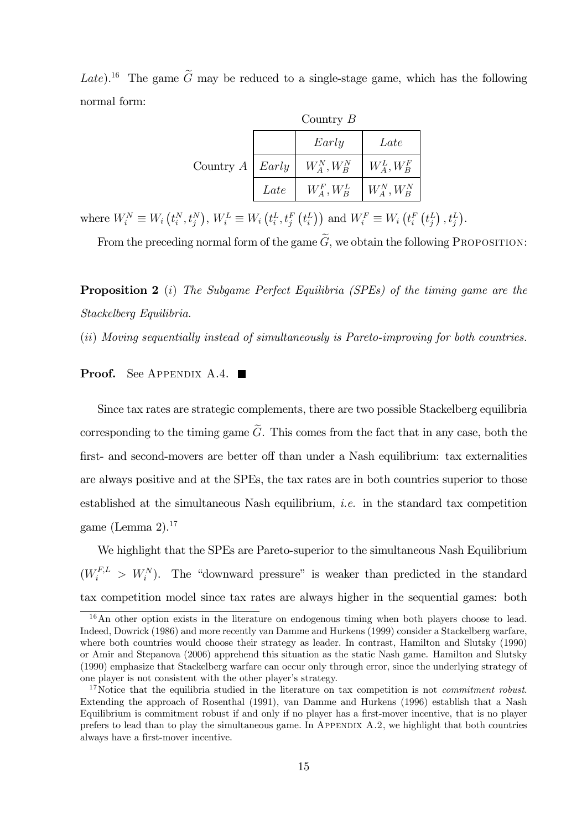Late).<sup>16</sup> The game  $\tilde{G}$  may be reduced to a single-stage game, which has the following normal form:

|                        | Country $B$ |                                     |                |  |
|------------------------|-------------|-------------------------------------|----------------|--|
|                        |             | Early                               | Late           |  |
| Country $A \mid Early$ |             | $W^N_A, W^N_B$                      | $W_A^L, W_B^F$ |  |
|                        | Late        | $W_A^F, W_B^L \quad   W_A^N, W_B^N$ |                |  |

where  $W_i^N \equiv W_i(t_i^N, t_j^N), W_i^L \equiv W_i(t_i^L, t_j^F(t_i^L))$  and  $W_i^F \equiv W_i(t_i^F(t_j^L), t_j^L)$ .

From the preceding normal form of the game  $\tilde{G}$ , we obtain the following PROPOSITION:

Proposition 2 (i) The Subgame Perfect Equilibria (SPEs) of the timing game are the Stackelberg Equilibria.

(ii) Moving sequentially instead of simultaneously is Pareto-improving for both countries.

#### **Proof.** See APPENDIX A.4.

Since tax rates are strategic complements, there are two possible Stackelberg equilibria corresponding to the timing game  $\tilde{G}$ . This comes from the fact that in any case, both the first- and second-movers are better off than under a Nash equilibrium: tax externalities are always positive and at the SPEs, the tax rates are in both countries superior to those established at the simultaneous Nash equilibrium, i.e. in the standard tax competition game (Lemma 2). $17$ 

We highlight that the SPEs are Pareto-superior to the simultaneous Nash Equilibrium  $(W_i^{F,L} > W_i^N)$ . The "downward pressure" is weaker than predicted in the standard tax competition model since tax rates are always higher in the sequential games: both

<sup>&</sup>lt;sup>16</sup>An other option exists in the literature on endogenous timing when both players choose to lead. Indeed, Dowrick (1986) and more recently van Damme and Hurkens (1999) consider a Stackelberg warfare, where both countries would choose their strategy as leader. In contrast, Hamilton and Slutsky (1990) or Amir and Stepanova (2006) apprehend this situation as the static Nash game. Hamilton and Slutsky (1990) emphasize that Stackelberg warfare can occur only through error, since the underlying strategy of one player is not consistent with the other player's strategy.

<sup>&</sup>lt;sup>17</sup>Notice that the equilibria studied in the literature on tax competition is not *commitment robust*. Extending the approach of Rosenthal (1991), van Damme and Hurkens (1996) establish that a Nash Equilibrium is commitment robust if and only if no player has a first-mover incentive, that is no player prefers to lead than to play the simultaneous game. In Appendix A.2, we highlight that both countries always have a first-mover incentive.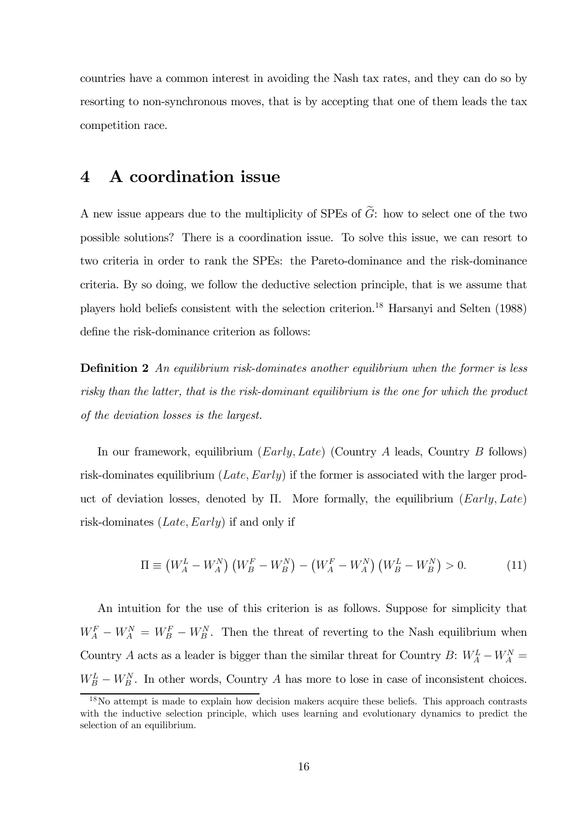countries have a common interest in avoiding the Nash tax rates, and they can do so by resorting to non-synchronous moves, that is by accepting that one of them leads the tax competition race.

## 4 A coordination issue

A new issue appears due to the multiplicity of SPEs of  $\tilde{G}$ : how to select one of the two possible solutions? There is a coordination issue. To solve this issue, we can resort to two criteria in order to rank the SPEs: the Pareto-dominance and the risk-dominance criteria. By so doing, we follow the deductive selection principle, that is we assume that players hold beliefs consistent with the selection criterion.18 Harsanyi and Selten (1988) define the risk-dominance criterion as follows:

**Definition 2** An equilibrium risk-dominates another equilibrium when the former is less risky than the latter, that is the risk-dominant equilibrium is the one for which the product of the deviation losses is the largest.

In our framework, equilibrium  $(Early, Late)$  (Country A leads, Country B follows) risk-dominates equilibrium (Late, Early) if the former is associated with the larger product of deviation losses, denoted by  $\Pi$ . More formally, the equilibrium (Early, Late) risk-dominates (Late, Early) if and only if

$$
\Pi \equiv \left(W_A^L - W_A^N\right) \left(W_B^F - W_B^N\right) - \left(W_A^F - W_A^N\right) \left(W_B^L - W_B^N\right) > 0. \tag{11}
$$

An intuition for the use of this criterion is as follows. Suppose for simplicity that  $W_A^F - W_A^N = W_B^F - W_B^N$ . Then the threat of reverting to the Nash equilibrium when Country A acts as a leader is bigger than the similar threat for Country B:  $W_A^L - W_A^N =$  $W_B^L - W_B^N$ . In other words, Country A has more to lose in case of inconsistent choices.

<sup>18</sup>No attempt is made to explain how decision makers acquire these beliefs. This approach contrasts with the inductive selection principle, which uses learning and evolutionary dynamics to predict the selection of an equilibrium.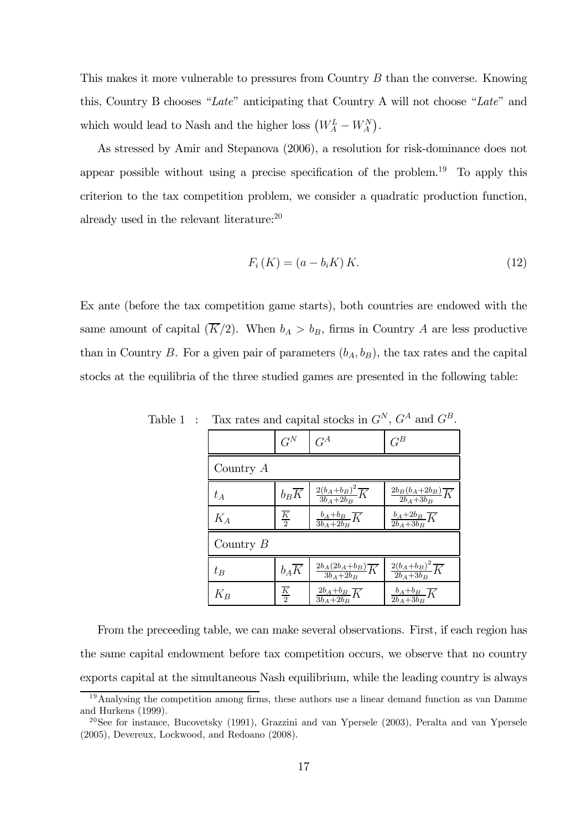This makes it more vulnerable to pressures from Country B than the converse. Knowing this, Country B chooses "Late" anticipating that Country A will not choose "Late" and which would lead to Nash and the higher loss  $\left(W_A^L - W_A^N\right)$ .

As stressed by Amir and Stepanova (2006), a resolution for risk-dominance does not appear possible without using a precise specification of the problem.<sup>19</sup> To apply this criterion to the tax competition problem, we consider a quadratic production function, already used in the relevant literature:20

$$
F_i(K) = (a - b_i K) K.
$$
\n<sup>(12)</sup>

Ex ante (before the tax competition game starts), both countries are endowed with the same amount of capital  $(\overline{K}/2)$ . When  $b_A > b_B$ , firms in Country A are less productive than in Country B. For a given pair of parameters  $(b_A, b_B)$ , the tax rates and the capital stocks at the equilibria of the three studied games are presented in the following table:

|             | $G^N$                    | $G^A$                                          | $G^B$                                          |  |  |  |
|-------------|--------------------------|------------------------------------------------|------------------------------------------------|--|--|--|
| Country $A$ |                          |                                                |                                                |  |  |  |
| $t_A$       | $b_B\overline{K}$        | $\frac{2(b_A+b_B)^2}{3b_A+2b_B}\overline{K}$   | $\frac{2b_B(b_A+2b_B)}{2b_A+3b_B}\overline{K}$ |  |  |  |
| $K_{A}$     | $\frac{\overline{K}}{2}$ | $\frac{b_A+b_B}{3b_A+2b_B}\overline{K}$        | $\frac{b_A+2b_B}{2b_A+3b_B}\overline{K}$       |  |  |  |
| Country $B$ |                          |                                                |                                                |  |  |  |
| $t_B$       | $b_A\overline{K}$        | $\frac{2b_A(2b_A+b_B)}{3b_A+2b_B}\overline{K}$ | $\frac{2(b_A+b_B)^2}{2b_A+3b_B}\overline{K}$   |  |  |  |
| $K_B\,$     | $\frac{\overline{K}}{2}$ | $\frac{2b_A+b_B}{3b_A+2b_B}\overline{K}$       | $\frac{b_A+b_B}{2b_A+3b_B}\overline{K}$        |  |  |  |

Table 1 : Tax rates and capital stocks in  $G^N$ ,  $G^A$  and  $G^B$ .

From the preceeding table, we can make several observations. First, if each region has the same capital endowment before tax competition occurs, we observe that no country exports capital at the simultaneous Nash equilibrium, while the leading country is always

 $19$ Analysing the competition among firms, these authors use a linear demand function as van Damme and Hurkens (1999).

<sup>20</sup>See for instance, Bucovetsky (1991), Grazzini and van Ypersele (2003), Peralta and van Ypersele (2005), Devereux, Lockwood, and Redoano (2008).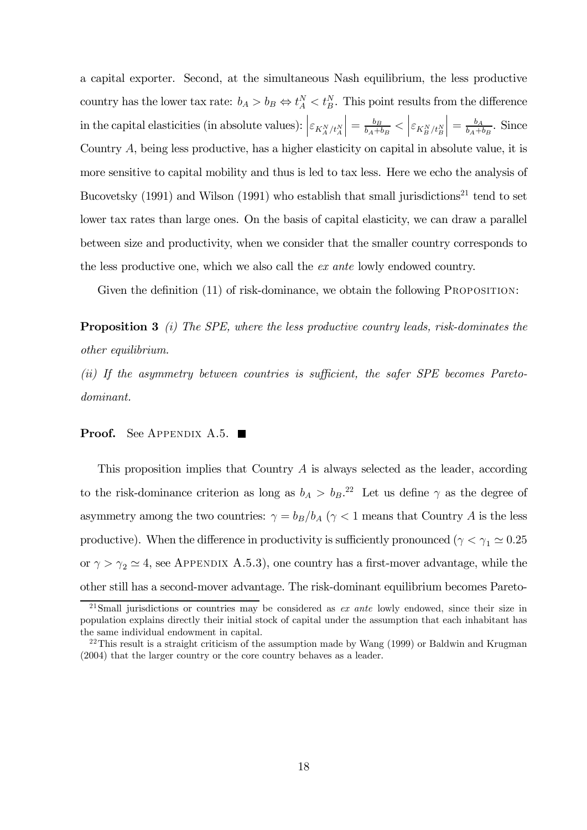a capital exporter. Second, at the simultaneous Nash equilibrium, the less productive country has the lower tax rate:  $b_A > b_B \Leftrightarrow t_A^N < t_B^N$ . This point results from the difference in the capital elasticities (in absolute values):  $\left| \varepsilon_{K_A^N/t_A^N} \right|$  $\Big\vert = \frac{b_B}{b_A+b_B} < \Big\vert \varepsilon_{K_B^N/t_B^N}$  $\Big| = \frac{b_A}{b_A + b_B}$ . Since Country A, being less productive, has a higher elasticity on capital in absolute value, it is more sensitive to capital mobility and thus is led to tax less. Here we echo the analysis of Bucovetsky  $(1991)$  and Wilson  $(1991)$  who establish that small jurisdictions<sup>21</sup> tend to set lower tax rates than large ones. On the basis of capital elasticity, we can draw a parallel between size and productivity, when we consider that the smaller country corresponds to the less productive one, which we also call the ex ante lowly endowed country.

Given the definition (11) of risk-dominance, we obtain the following PROPOSITION:

**Proposition 3** (i) The SPE, where the less productive country leads, risk-dominates the other equilibrium.

(ii) If the asymmetry between countries is sufficient, the safer SPE becomes Paretodominant.

#### **Proof.** See Appendix A.5.  $\blacksquare$

This proposition implies that Country A is always selected as the leader, according to the risk-dominance criterion as long as  $b_A > b_B$ <sup>22</sup>. Let us define  $\gamma$  as the degree of asymmetry among the two countries:  $\gamma = b_B/b_A$  ( $\gamma < 1$  means that Country A is the less productive). When the difference in productivity is sufficiently pronounced ( $\gamma < \gamma_1 \simeq 0.25$ or  $\gamma > \gamma_2 \simeq 4$ , see APPENDIX A.5.3), one country has a first-mover advantage, while the other still has a second-mover advantage. The risk-dominant equilibrium becomes Pareto-

<sup>&</sup>lt;sup>21</sup>Small jurisdictions or countries may be considered as  $ex$  ante lowly endowed, since their size in population explains directly their initial stock of capital under the assumption that each inhabitant has the same individual endowment in capital.

<sup>&</sup>lt;sup>22</sup>This result is a straight criticism of the assumption made by Wang  $(1999)$  or Baldwin and Krugman (2004) that the larger country or the core country behaves as a leader.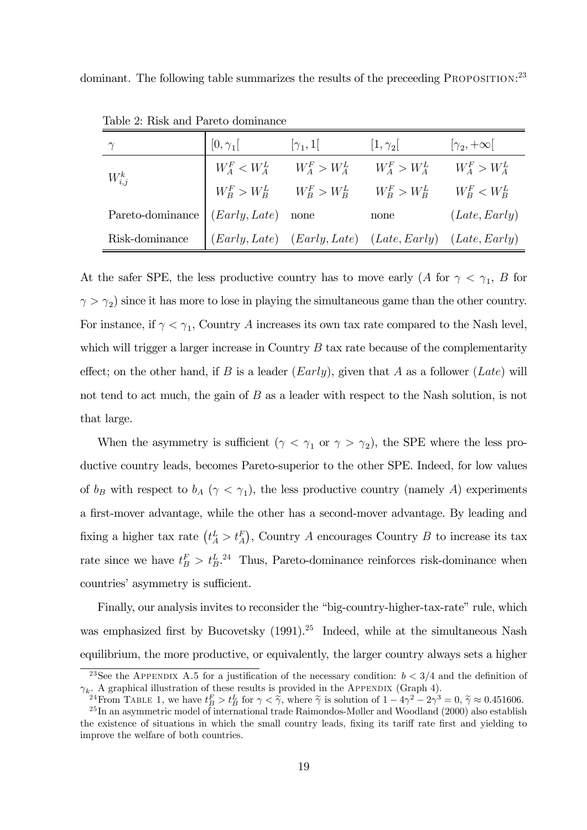dominant. The following table summarizes the results of the preceeding PROPOSITION:<sup>23</sup>

|                  | $[0,\gamma_1]$       | $[\gamma_1,1]$ | $ 1,\gamma_2 $                                                                 | $ \gamma_2, +\infty $ |
|------------------|----------------------|----------------|--------------------------------------------------------------------------------|-----------------------|
| $W_{i,j}^k$      | $W^F_A < W^L_A$      |                | $W_A^F > W_A^L$ $W_A^F > W_A^L$ $W_A^F > W_A^L$                                |                       |
|                  |                      |                | $W_B^F > W_B^L \qquad W_B^F > W_B^L \qquad W_B^F > W_B^L \qquad W_B^F < W_B^L$ |                       |
| Pareto-dominance | $(Early, Late)$ none |                | none                                                                           | (Late, Early)         |
| Risk-dominance   |                      |                | $(Early, Late)$ $(Early, Late)$ $(Late, Early)$ $(Late, Early)$                |                       |

Table 2: Risk and Pareto dominance

At the safer SPE, the less productive country has to move early (A for  $\gamma < \gamma_1$ , B for  $\gamma > \gamma_2$ ) since it has more to lose in playing the simultaneous game than the other country. For instance, if  $\gamma < \gamma_1$ , Country A increases its own tax rate compared to the Nash level, which will trigger a larger increase in Country  $B$  tax rate because of the complementarity effect; on the other hand, if B is a leader  $(Early)$ , given that A as a follower  $(Late)$  will not tend to act much, the gain of B as a leader with respect to the Nash solution, is not that large.

When the asymmetry is sufficient ( $\gamma < \gamma_1$  or  $\gamma > \gamma_2$ ), the SPE where the less productive country leads, becomes Pareto-superior to the other SPE. Indeed, for low values of  $b_B$  with respect to  $b_A$  ( $\gamma < \gamma_1$ ), the less productive country (namely A) experiments a first-mover advantage, while the other has a second-mover advantage. By leading and fixing a higher tax rate  $(t_A^L > t_A^F)$ , Country A encourages Country B to increase its tax rate since we have  $t_B^F > t_B^L$ .<sup>24</sup> Thus, Pareto-dominance reinforces risk-dominance when countries' asymmetry is sufficient.

Finally, our analysis invites to reconsider the "big-country-higher-tax-rate" rule, which was emphasized first by Bucovetsky  $(1991).^{25}$  Indeed, while at the simultaneous Nash equilibrium, the more productive, or equivalently, the larger country always sets a higher

<sup>&</sup>lt;sup>23</sup>See the APPENDIX A.5 for a justification of the necessary condition:  $b < 3/4$  and the definition of  $\gamma_k$ . A graphical illustration of these results is provided in the APPENDIX (Graph 4).

<sup>&</sup>lt;sup>24</sup>From TABLE 1, we have  $t_B^F > t_B^L$  for  $\gamma < \tilde{\gamma}$ , where  $\tilde{\gamma}$  is solution of  $1 - 4\gamma^2 - 2\gamma^3 = 0$ ,  $\tilde{\gamma} \approx 0.451606$ .<br><sup>25</sup>In an asymmetric model of international trade Raimondos-Møller and Woodland (2000) also e

the existence of situations in which the small country leads, fixing its tariff rate first and yielding to improve the welfare of both countries.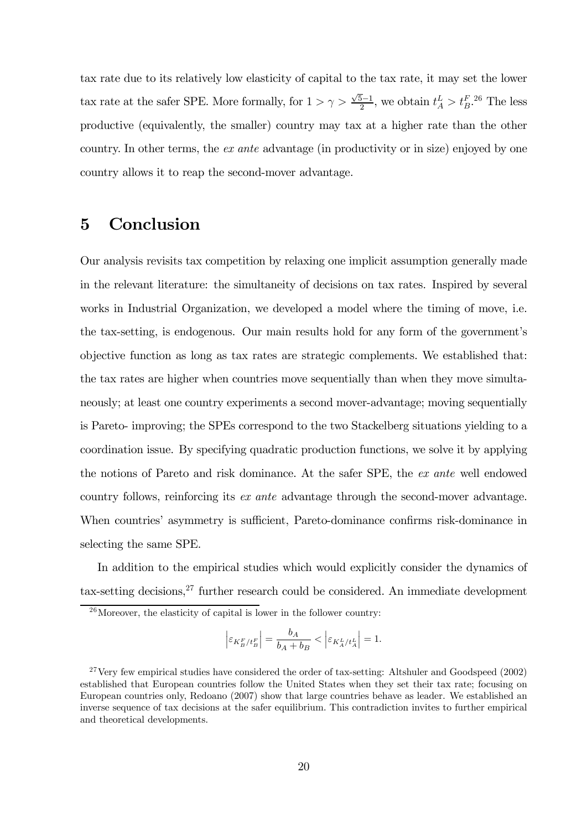tax rate due to its relatively low elasticity of capital to the tax rate, it may set the lower tax rate at the safer SPE. More formally, for  $1 > \gamma > \frac{\sqrt{5}-1}{2}$ , we obtain  $t_A^L > t_B^{F.26}$  The less productive (equivalently, the smaller) country may tax at a higher rate than the other country. In other terms, the ex ante advantage (in productivity or in size) enjoyed by one country allows it to reap the second-mover advantage.

## 5 Conclusion

Our analysis revisits tax competition by relaxing one implicit assumption generally made in the relevant literature: the simultaneity of decisions on tax rates. Inspired by several works in Industrial Organization, we developed a model where the timing of move, i.e. the tax-setting, is endogenous. Our main results hold for any form of the government's objective function as long as tax rates are strategic complements. We established that: the tax rates are higher when countries move sequentially than when they move simultaneously; at least one country experiments a second mover-advantage; moving sequentially is Pareto- improving; the SPEs correspond to the two Stackelberg situations yielding to a coordination issue. By specifying quadratic production functions, we solve it by applying the notions of Pareto and risk dominance. At the safer SPE, the ex ante well endowed country follows, reinforcing its ex ante advantage through the second-mover advantage. When countries' asymmetry is sufficient, Pareto-dominance confirms risk-dominance in selecting the same SPE.

In addition to the empirical studies which would explicitly consider the dynamics of tax-setting decisions,  $27$  further research could be considered. An immediate development

$$
\left|\varepsilon_{K^F_B/t^F_B}\right|=\frac{b_A}{b_A+b_B}<\left|\varepsilon_{K^L_A/t^L_A}\right|=1.
$$

 $26$ Moreover, the elasticity of capital is lower in the follower country:

 $27$  Very few empirical studies have considered the order of tax-setting: Altshuler and Goodspeed (2002) established that European countries follow the United States when they set their tax rate; focusing on European countries only, Redoano (2007) show that large countries behave as leader. We established an inverse sequence of tax decisions at the safer equilibrium. This contradiction invites to further empirical and theoretical developments.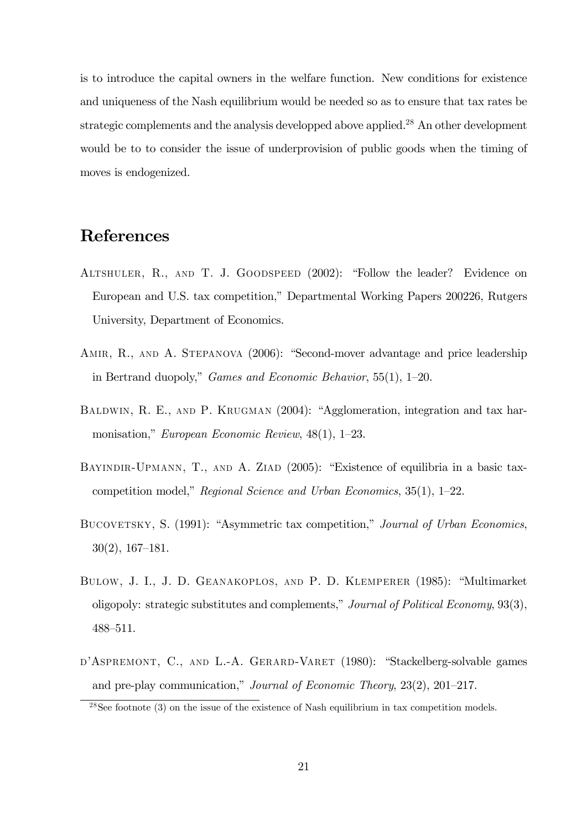is to introduce the capital owners in the welfare function. New conditions for existence and uniqueness of the Nash equilibrium would be needed so as to ensure that tax rates be strategic complements and the analysis developped above applied.<sup>28</sup> An other development would be to to consider the issue of underprovision of public goods when the timing of moves is endogenized.

## References

- Altshuler, R., and T. J. Goodspeed (2002): "Follow the leader? Evidence on European and U.S. tax competition," Departmental Working Papers 200226, Rutgers University, Department of Economics.
- AMIR, R., AND A. STEPANOVA (2006): "Second-mover advantage and price leadership in Bertrand duopoly," Games and Economic Behavior, 55(1), 1—20.
- BALDWIN, R. E., AND P. KRUGMAN (2004): "Agglomeration, integration and tax harmonisation," European Economic Review, 48(1), 1—23.
- BAYINDIR-UPMANN, T., AND A. ZIAD (2005): "Existence of equilibria in a basic taxcompetition model," Regional Science and Urban Economics, 35(1), 1—22.
- BUCOVETSKY, S. (1991): "Asymmetric tax competition," Journal of Urban Economics, 30(2), 167—181.
- Bulow, J. I., J. D. Geanakoplos, and P. D. Klemperer (1985): "Multimarket oligopoly: strategic substitutes and complements," Journal of Political Economy, 93(3), 488—511.
- D'ASPREMONT, C., AND L.-A. GERARD-VARET (1980): "Stackelberg-solvable games and pre-play communication," Journal of Economic Theory, 23(2), 201—217.

<sup>&</sup>lt;sup>28</sup>See footnote (3) on the issue of the existence of Nash equilibrium in tax competition models.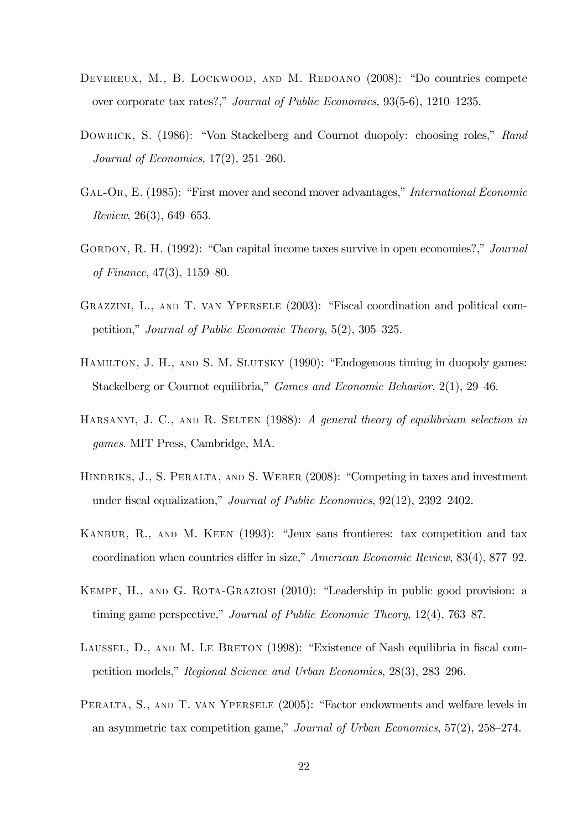- DEVEREUX, M., B. LOCKWOOD, AND M. REDOANO (2008): "Do countries compete over corporate tax rates?," Journal of Public Economics, 93(5-6), 1210—1235.
- DOWRICK, S. (1986): "Von Stackelberg and Cournot duopoly: choosing roles," Rand Journal of Economics, 17(2), 251—260.
- Gal-Or, E. (1985): "First mover and second mover advantages," International Economic Review, 26(3), 649—653.
- GORDON, R. H. (1992): "Can capital income taxes survive in open economies?," Journal of Finance, 47(3), 1159—80.
- Grazzini, L., and T. van Ypersele (2003): "Fiscal coordination and political competition," Journal of Public Economic Theory, 5(2), 305—325.
- HAMILTON, J. H., AND S. M. SLUTSKY (1990): "Endogenous timing in duopoly games: Stackelberg or Cournot equilibria," Games and Economic Behavior, 2(1), 29—46.
- HARSANYI, J. C., AND R. SELTEN (1988): A general theory of equilibrium selection in games. MIT Press, Cambridge, MA.
- Hindriks, J., S. Peralta, and S. Weber (2008): "Competing in taxes and investment under fiscal equalization," Journal of Public Economics, 92(12), 2392—2402.
- Kanbur, R., and M. Keen (1993): "Jeux sans frontieres: tax competition and tax coordination when countries differ in size," American Economic Review, 83(4), 877—92.
- KEMPF, H., AND G. ROTA-GRAZIOSI (2010): "Leadership in public good provision: a timing game perspective," Journal of Public Economic Theory, 12(4), 763—87.
- LAUSSEL, D., AND M. LE BRETON (1998): "Existence of Nash equilibria in fiscal competition models," Regional Science and Urban Economics, 28(3), 283—296.
- PERALTA, S., AND T. VAN YPERSELE (2005): "Factor endowments and welfare levels in an asymmetric tax competition game," Journal of Urban Economics, 57(2), 258—274.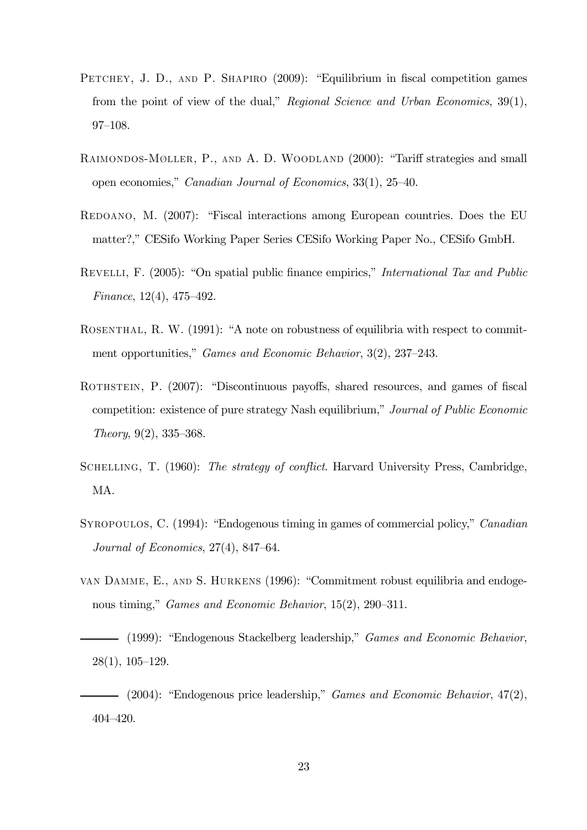- PETCHEY, J. D., AND P. SHAPIRO (2009): "Equilibrium in fiscal competition games from the point of view of the dual," Regional Science and Urban Economics, 39(1), 97—108.
- RAIMONDOS-MØLLER, P., AND A. D. WOODLAND (2000): "Tariff strategies and small open economies," Canadian Journal of Economics, 33(1), 25—40.
- Redoano, M. (2007): "Fiscal interactions among European countries. Does the EU matter?," CESifo Working Paper Series CESifo Working Paper No., CESifo GmbH.
- Revelli, F. (2005): "On spatial public finance empirics," International Tax and Public Finance, 12(4), 475—492.
- ROSENTHAL, R. W. (1991): "A note on robustness of equilibria with respect to commitment opportunities," Games and Economic Behavior, 3(2), 237—243.
- ROTHSTEIN, P. (2007): "Discontinuous payoffs, shared resources, and games of fiscal competition: existence of pure strategy Nash equilibrium," Journal of Public Economic Theory, 9(2), 335—368.
- SCHELLING, T. (1960): The strategy of conflict. Harvard University Press, Cambridge, MA.
- SYROPOULOS, C. (1994): "Endogenous timing in games of commercial policy," *Canadian* Journal of Economics, 27(4), 847—64.
- van Damme, E., and S. Hurkens (1996): "Commitment robust equilibria and endogenous timing," *Games and Economic Behavior*, 15(2), 290–311.
- (1999): "Endogenous Stackelberg leadership," *Games and Economic Behavior*, 28(1), 105—129.
- $-$  (2004): "Endogenous price leadership," *Games and Economic Behavior*,  $47(2)$ , 404—420.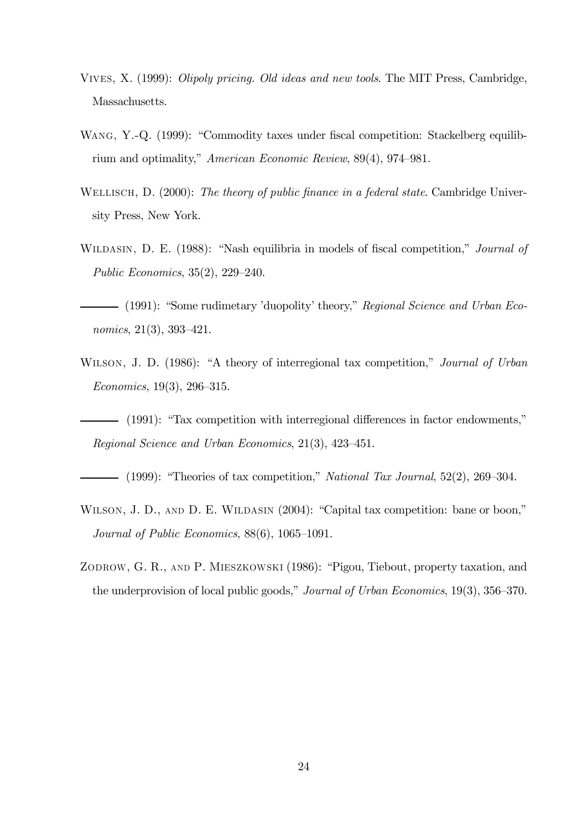- Vives, X. (1999): Olipoly pricing. Old ideas and new tools. The MIT Press, Cambridge, Massachusetts.
- WANG, Y.-Q. (1999): "Commodity taxes under fiscal competition: Stackelberg equilibrium and optimality," American Economic Review, 89(4), 974—981.
- WELLISCH, D. (2000): The theory of public finance in a federal state. Cambridge University Press, New York.
- WILDASIN, D. E. (1988): "Nash equilibria in models of fiscal competition," *Journal of* Public Economics, 35(2), 229—240.
- (1991): "Some rudimetary 'duopolity' theory," Regional Science and Urban Economics, 21(3), 393—421.
- WILSON, J. D. (1986): "A theory of interregional tax competition," Journal of Urban Economics, 19(3), 296—315.
- (1991): "Tax competition with interregional differences in factor endowments," Regional Science and Urban Economics, 21(3), 423—451.
- $-$  (1999): "Theories of tax competition," National Tax Journal, 52(2), 269–304.
- WILSON, J. D., AND D. E. WILDASIN (2004): "Capital tax competition: bane or boon," Journal of Public Economics, 88(6), 1065—1091.
- ZODROW, G. R., AND P. MIESZKOWSKI (1986): "Pigou, Tiebout, property taxation, and the underprovision of local public goods," Journal of Urban Economics, 19(3), 356—370.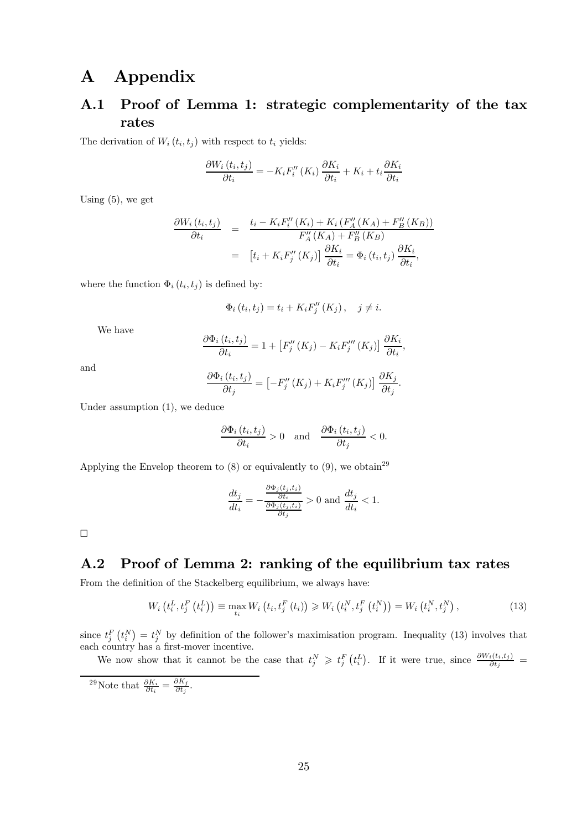# A Appendix

## A.1 Proof of Lemma 1: strategic complementarity of the tax rates

The derivation of  $W_i(t_i, t_j)$  with respect to  $t_i$  yields:

$$
\frac{\partial W_i(t_i, t_j)}{\partial t_i} = -K_i F_i''(K_i) \frac{\partial K_i}{\partial t_i} + K_i + t_i \frac{\partial K_i}{\partial t_i}
$$

Using  $(5)$ , we get

$$
\frac{\partial W_i(t_i, t_j)}{\partial t_i} = \frac{t_i - K_i F_i''(K_i) + K_i (F_A''(K_A) + F_B''(K_B))}{F_A''(K_A) + F_B''(K_B)}
$$
  

$$
= [t_i + K_i F_j''(K_j)] \frac{\partial K_i}{\partial t_i} = \Phi_i(t_i, t_j) \frac{\partial K_i}{\partial t_i},
$$

where the function  $\Phi_i(t_i, t_j)$  is defined by:

$$
\Phi_i(t_i, t_j) = t_i + K_i F_j''(K_j), \quad j \neq i.
$$

We have

$$
\frac{\partial \Phi_i(t_i, t_j)}{\partial t_i} = 1 + \left[ F_j''(K_j) - K_i F_j'''(K_j) \right] \frac{\partial K_i}{\partial t_i},
$$

and

$$
\frac{\partial \Phi_i(t_i, t_j)}{\partial t_j} = \left[ -F_j''(K_j) + K_i F_j'''(K_j) \right] \frac{\partial K_j}{\partial t_j}.
$$

Under assumption (1), we deduce

$$
\frac{\partial \Phi_i(t_i, t_j)}{\partial t_i} > 0 \quad \text{and} \quad \frac{\partial \Phi_i(t_i, t_j)}{\partial t_j} < 0.
$$

Applying the Envelop theorem to  $(8)$  or equivalently to  $(9)$ , we obtain<sup>29</sup>

$$
\frac{dt_j}{dt_i} = -\frac{\frac{\partial \Phi_j(t_j, t_i)}{\partial t_i}}{\frac{\partial \Phi_j(t_j, t_i)}{\partial t_j}} > 0 \text{ and } \frac{dt_j}{dt_i} < 1.
$$

 $\Box$ 

## A.2 Proof of Lemma 2: ranking of the equilibrium tax rates

From the definition of the Stackelberg equilibrium, we always have:

$$
W_{i}\left(t_{i}^{L}, t_{j}^{F}\left(t_{i}^{L}\right)\right) \equiv \max_{t_{i}} W_{i}\left(t_{i}, t_{j}^{F}\left(t_{i}\right)\right) \geq W_{i}\left(t_{i}^{N}, t_{j}^{F}\left(t_{i}^{N}\right)\right) = W_{i}\left(t_{i}^{N}, t_{j}^{N}\right),\tag{13}
$$

since  $t_j^F(t_i^N) = t_j^N$  by definition of the follower's maximisation program. Inequality (13) involves that each country has a first-mover incentive.

We now show that it cannot be the case that  $t_j^N \geqslant t_j^F(t_i^L)$ . If it were true, since  $\frac{\partial W_i(t_i,t_j)}{\partial t_j}$ 

<sup>29</sup>Note that  $\frac{\partial K_i}{\partial t_i} = \frac{\partial K_j}{\partial t_j}$ .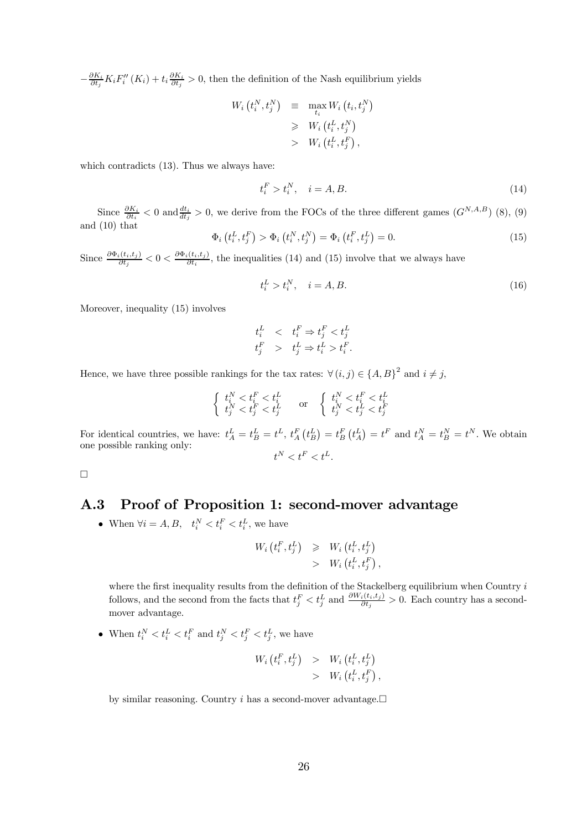$-\frac{\partial K_i}{\partial t_j}K_iF''_i(K_i) + t_i\frac{\partial K_i}{\partial t_j} > 0$ , then the definition of the Nash equilibrium yields

$$
W_i(t_i^N, t_j^N) \equiv \max_{t_i} W_i(t_i, t_j^N)
$$
  
\n
$$
\geq W_i(t_i^L, t_j^N)
$$
  
\n
$$
> W_i(t_i^L, t_j^F),
$$

which contradicts (13). Thus we always have:

$$
t_i^F > t_i^N, \quad i = A, B. \tag{14}
$$

Since  $\frac{\partial K_i}{\partial t_i}$  < 0 and  $\frac{dt_i}{dt_j}$  > 0, we derive from the FOCs of the three different games  $(G^{N,A,B})$  (8), (9) and (10) that

$$
\Phi_i(t_i^L, t_j^F) > \Phi_i(t_i^N, t_j^N) = \Phi_i(t_i^F, t_j^L) = 0. \tag{15}
$$

Since  $\frac{\partial \Phi_i(t_i,t_j)}{\partial t_j} < 0 < \frac{\partial \Phi_i(t_i,t_j)}{\partial t_i}$ , the inequalities (14) and (15) involve that we always have

$$
t_i^L > t_i^N, \quad i = A, B. \tag{16}
$$

Moreover, inequality (15) involves

$$
t_i^L \quad < \quad t_i^F \Rightarrow t_j^F < t_j^L
$$
\n
$$
t_j^F \quad > \quad t_j^L \Rightarrow t_i^L > t_i^F.
$$

Hence, we have three possible rankings for the tax rates:  $\forall (i, j) \in \{A, B\}^2$  and  $i \neq j$ ,

$$
\left\{ \begin{array}{ll} t_i^N < t_i^F < t_i^L \\ t_j^N < t_j^F < t_j^L \end{array} \right. \quad \text{or} \quad \left\{ \begin{array}{ll} t_i^N < t_i^F < t_i^L \\ t_j^N < t_j^L < t_j^F \end{array} \right.
$$

For identical countries, we have:  $t_A^L = t_B^L = t^L$ ,  $t_A^F(t_B^L) = t_B^F(t_A^L) = t^F$  and  $t_A^N = t_B^N = t^N$ . We obtain one possible ranking only:  $t^N < t^F < t^L$ .

 $\Box$ 

## A.3 Proof of Proposition 1: second-mover advantage

• When  $\forall i = A, B, \quad t_i^N < t_i^F < t_i^L$ , we have

$$
W_i(t_i^F, t_j^L) \geqslant W_i(t_i^L, t_j^L) > W_i(t_i^L, t_j^F),
$$

where the first inequality results from the definition of the Stackelberg equilibrium when Country i follows, and the second from the facts that  $t_j^F < t_j^L$  and  $\frac{\partial W_i(t_i,t_j)}{\partial t_j} > 0$ . Each country has a secondmover advantage.

• When  $t_i^N < t_i^L < t_i^F$  and  $t_j^N < t_j^F < t_j^L$ , we have

$$
W_i(t_i^F, t_j^L) > W_i(t_i^L, t_j^L) > W_i(t_i^L, t_j^F),
$$

by similar reasoning. Country i has a second-mover advantage. $\Box$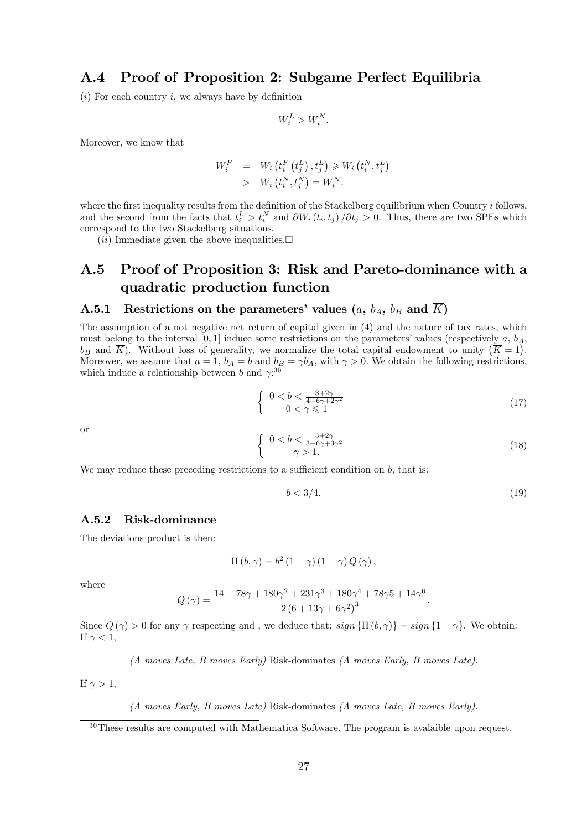### A.4 Proof of Proposition 2: Subgame Perfect Equilibria

 $(i)$  For each country i, we always have by definition

$$
W_i^L > W_i^N.
$$

Moreover, we know that

$$
W_i^F = W_i \left( t_i^F \left( t_j^L \right), t_j^L \right) \geq W_i \left( t_i^N, t_j^L \right)
$$
  
> 
$$
W_i \left( t_i^N, t_j^N \right) = W_i^N.
$$

where the first inequality results from the definition of the Stackelberg equilibrium when Country  $i$  follows, and the second from the facts that  $t_i^L > t_i^N$  and  $\partial W_i(t_i, t_j) / \partial t_j > 0$ . Thus, there are two SPEs which correspond to the two Stackelberg situations.

 $(ii)$  Immediate given the above inequalities.

## A.5 Proof of Proposition 3: Risk and Pareto-dominance with a quadratic production function

### A.5.1 Restrictions on the parameters' values  $(a, b<sub>A</sub>, b<sub>B</sub>$  and  $\overline{K}$ )

The assumption of a not negative net return of capital given in (4) and the nature of tax rates, which must belong to the interval [0, 1] induce some restrictions on the parameters' values (respectively  $a, b<sub>A</sub>$ ,  $b_B$  and  $\overline{K}$ ). Without loss of generality, we normalize the total capital endowment to unity  $(\overline{K} = 1)$ . Moreover, we assume that  $a = 1$ ,  $b_A = b$  and  $b_B = \gamma b_A$ , with  $\gamma > 0$ . We obtain the following restrictions, which induce a relationship between b and  $\gamma$ <sup>30</sup>

$$
\begin{cases} 0 < b < \frac{3+2\gamma}{4+6\gamma+2\gamma^2} \\ 0 < \gamma \le 1 \end{cases}
$$
\n(17)

or

$$
\begin{cases} 0 < b < \frac{3+2\gamma}{3+6\gamma+3\gamma^2} \\ \gamma > 1. \end{cases} \tag{18}
$$

We may reduce these preceding restrictions to a sufficient condition on  $b$ , that is:

$$
b < 3/4. \tag{19}
$$

#### A.5.2 Risk-dominance

The deviations product is then:

$$
\Pi(b,\gamma) = b^2 (1+\gamma) (1-\gamma) Q(\gamma),
$$

where

$$
Q(\gamma) = \frac{14 + 78\gamma + 180\gamma^2 + 231\gamma^3 + 180\gamma^4 + 78\gamma5 + 14\gamma^6}{2(6 + 13\gamma + 6\gamma^2)^3}.
$$

Since  $Q(\gamma) > 0$  for any  $\gamma$  respecting and, we deduce that:  $sign\{\Pi(b, \gamma)\} = sign\{1 - \gamma\}$ . We obtain: If  $\gamma < 1$ ,

(A moves Late, B moves Early) Risk-dominates (A moves Early, B moves Late).

If  $\gamma > 1$ ,

(A moves Early, B moves Late) Risk-dominates (A moves Late, B moves Early).

 $30$ These results are computed with Mathematica Software. The program is avalaible upon request.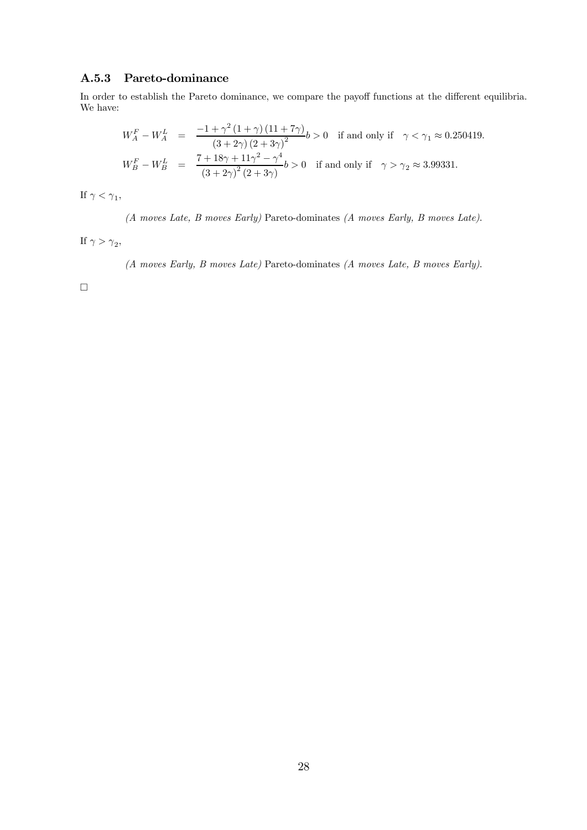#### A.5.3 Pareto-dominance

In order to establish the Pareto dominance, we compare the payoff functions at the different equilibria. We have:

$$
W_A^F - W_A^L = \frac{-1 + \gamma^2 (1 + \gamma) (11 + 7\gamma)}{(3 + 2\gamma) (2 + 3\gamma)^2} b > 0
$$
 if and only if  $\gamma < \gamma_1 \approx 0.250419$ .  
\n
$$
W_B^F - W_B^L = \frac{7 + 18\gamma + 11\gamma^2 - \gamma^4}{(3 + 2\gamma)^2 (2 + 3\gamma)} b > 0
$$
 if and only if  $\gamma > \gamma_2 \approx 3.99331$ .

If  $\gamma < \gamma_1$ ,

(A moves Late, B moves Early) Pareto-dominates (A moves Early, B moves Late).

If  $\gamma > \gamma_2$ ,

(A moves Early, B moves Late) Pareto-dominates (A moves Late, B moves Early).

 $\Box$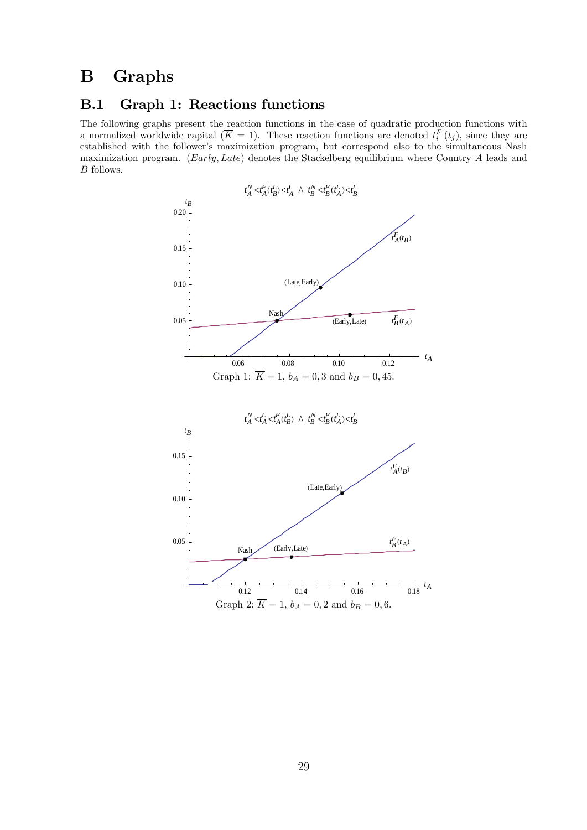# B Graphs

## B.1 Graph 1: Reactions functions

The following graphs present the reaction functions in the case of quadratic production functions with a normalized worldwide capital  $(\overline{K} = 1)$ . These reaction functions are denoted  $t_i^F(t_j)$ , since they are established with the follower's maximization program, but correspond also to the simultaneous Nash maximization program. (Early, Late) denotes the Stackelberg equilibrium where Country A leads and B follows.

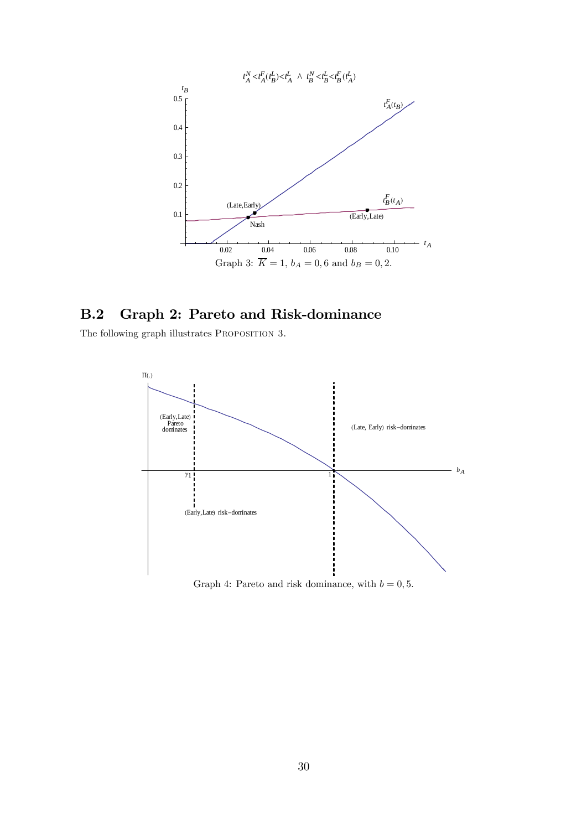

## B.2 Graph 2: Pareto and Risk-dominance

The following graph illustrates PROPOSITION 3.



Graph 4: Pareto and risk dominance, with  $b = 0, 5$ .